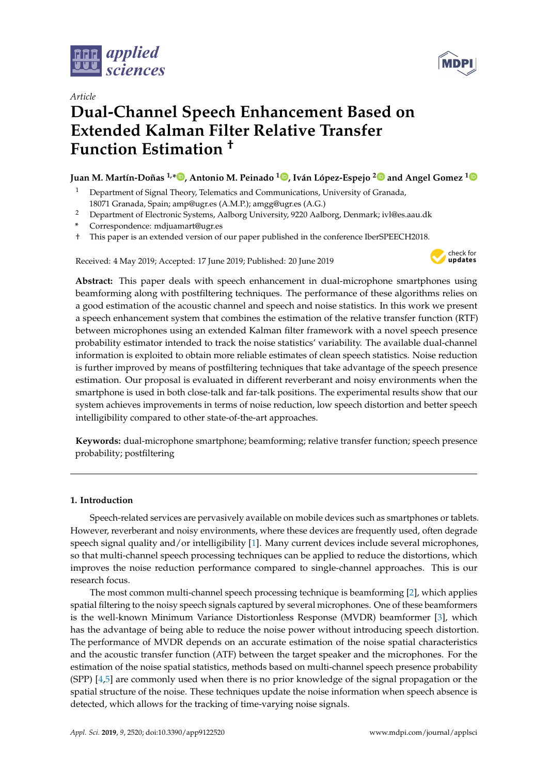





# **Dual-Channel Speech Enhancement Based on Extended Kalman Filter Relative Transfer Function Estimation †**

# **Juan M. Martín-Doñas 1,\* [,](https://orcid.org/0000-0003-4874-0166) Antonio M. Peinado [1](https://orcid.org/0000-0001-8214-6676) , Iván López-Espejo [2](https://orcid.org/0000-0001-8634-7897) and Angel Gomez [1](https://orcid.org/0000-0002-9995-3068)**

- <sup>1</sup> Department of Signal Theory, Telematics and Communications, University of Granada,
- 18071 Granada, Spain; amp@ugr.es (A.M.P.); amgg@ugr.es (A.G.)
- <sup>2</sup> Department of Electronic Systems, Aalborg University, 9220 Aalborg, Denmark; ivl@es.aau.dk
- **\*** Correspondence: mdjuamart@ugr.es
- † This paper is an extended version of our paper published in the conference IberSPEECH2018.

Received: 4 May 2019; Accepted: 17 June 2019; Published: 20 June 2019



**Abstract:** This paper deals with speech enhancement in dual-microphone smartphones using beamforming along with postfiltering techniques. The performance of these algorithms relies on a good estimation of the acoustic channel and speech and noise statistics. In this work we present a speech enhancement system that combines the estimation of the relative transfer function (RTF) between microphones using an extended Kalman filter framework with a novel speech presence probability estimator intended to track the noise statistics' variability. The available dual-channel information is exploited to obtain more reliable estimates of clean speech statistics. Noise reduction is further improved by means of postfiltering techniques that take advantage of the speech presence estimation. Our proposal is evaluated in different reverberant and noisy environments when the smartphone is used in both close-talk and far-talk positions. The experimental results show that our system achieves improvements in terms of noise reduction, low speech distortion and better speech intelligibility compared to other state-of-the-art approaches.

**Keywords:** dual-microphone smartphone; beamforming; relative transfer function; speech presence probability; postfiltering

# **1. Introduction**

Speech-related services are pervasively available on mobile devices such as smartphones or tablets. However, reverberant and noisy environments, where these devices are frequently used, often degrade speech signal quality and/or intelligibility [\[1\]](#page-18-0). Many current devices include several microphones, so that multi-channel speech processing techniques can be applied to reduce the distortions, which improves the noise reduction performance compared to single-channel approaches. This is our research focus.

The most common multi-channel speech processing technique is beamforming [\[2\]](#page-18-1), which applies spatial filtering to the noisy speech signals captured by several microphones. One of these beamformers is the well-known Minimum Variance Distortionless Response (MVDR) beamformer [\[3\]](#page-18-2), which has the advantage of being able to reduce the noise power without introducing speech distortion. The performance of MVDR depends on an accurate estimation of the noise spatial characteristics and the acoustic transfer function (ATF) between the target speaker and the microphones. For the estimation of the noise spatial statistics, methods based on multi-channel speech presence probability (SPP) [\[4](#page-18-3)[,5\]](#page-18-4) are commonly used when there is no prior knowledge of the signal propagation or the spatial structure of the noise. These techniques update the noise information when speech absence is detected, which allows for the tracking of time-varying noise signals.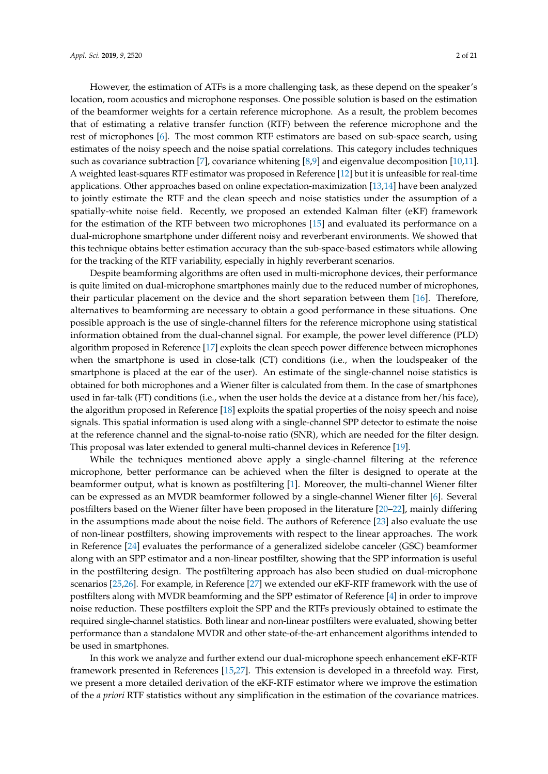However, the estimation of ATFs is a more challenging task, as these depend on the speaker's location, room acoustics and microphone responses. One possible solution is based on the estimation of the beamformer weights for a certain reference microphone. As a result, the problem becomes that of estimating a relative transfer function (RTF) between the reference microphone and the rest of microphones [\[6\]](#page-18-5). The most common RTF estimators are based on sub-space search, using estimates of the noisy speech and the noise spatial correlations. This category includes techniques such as covariance subtraction [\[7\]](#page-18-6), covariance whitening [\[8](#page-18-7)[,9\]](#page-18-8) and eigenvalue decomposition [\[10,](#page-19-0)[11\]](#page-19-1). A weighted least-squares RTF estimator was proposed in Reference [\[12\]](#page-19-2) but it is unfeasible for real-time applications. Other approaches based on online expectation-maximization [\[13,](#page-19-3)[14\]](#page-19-4) have been analyzed to jointly estimate the RTF and the clean speech and noise statistics under the assumption of a spatially-white noise field. Recently, we proposed an extended Kalman filter (eKF) framework for the estimation of the RTF between two microphones [\[15\]](#page-19-5) and evaluated its performance on a dual-microphone smartphone under different noisy and reverberant environments. We showed that this technique obtains better estimation accuracy than the sub-space-based estimators while allowing for the tracking of the RTF variability, especially in highly reverberant scenarios.

Despite beamforming algorithms are often used in multi-microphone devices, their performance is quite limited on dual-microphone smartphones mainly due to the reduced number of microphones, their particular placement on the device and the short separation between them [\[16\]](#page-19-6). Therefore, alternatives to beamforming are necessary to obtain a good performance in these situations. One possible approach is the use of single-channel filters for the reference microphone using statistical information obtained from the dual-channel signal. For example, the power level difference (PLD) algorithm proposed in Reference [\[17\]](#page-19-7) exploits the clean speech power difference between microphones when the smartphone is used in close-talk (CT) conditions (i.e., when the loudspeaker of the smartphone is placed at the ear of the user). An estimate of the single-channel noise statistics is obtained for both microphones and a Wiener filter is calculated from them. In the case of smartphones used in far-talk (FT) conditions (i.e., when the user holds the device at a distance from her/his face), the algorithm proposed in Reference [\[18\]](#page-19-8) exploits the spatial properties of the noisy speech and noise signals. This spatial information is used along with a single-channel SPP detector to estimate the noise at the reference channel and the signal-to-noise ratio (SNR), which are needed for the filter design. This proposal was later extended to general multi-channel devices in Reference [\[19\]](#page-19-9).

While the techniques mentioned above apply a single-channel filtering at the reference microphone, better performance can be achieved when the filter is designed to operate at the beamformer output, what is known as postfiltering [\[1\]](#page-18-0). Moreover, the multi-channel Wiener filter can be expressed as an MVDR beamformer followed by a single-channel Wiener filter [\[6\]](#page-18-5). Several postfilters based on the Wiener filter have been proposed in the literature [\[20–](#page-19-10)[22\]](#page-19-11), mainly differing in the assumptions made about the noise field. The authors of Reference [\[23\]](#page-19-12) also evaluate the use of non-linear postfilters, showing improvements with respect to the linear approaches. The work in Reference [\[24\]](#page-19-13) evaluates the performance of a generalized sidelobe canceler (GSC) beamformer along with an SPP estimator and a non-linear postfilter, showing that the SPP information is useful in the postfiltering design. The postfiltering approach has also been studied on dual-microphone scenarios [\[25](#page-19-14)[,26\]](#page-19-15). For example, in Reference [\[27\]](#page-19-16) we extended our eKF-RTF framework with the use of postfilters along with MVDR beamforming and the SPP estimator of Reference [\[4\]](#page-18-3) in order to improve noise reduction. These postfilters exploit the SPP and the RTFs previously obtained to estimate the required single-channel statistics. Both linear and non-linear postfilters were evaluated, showing better performance than a standalone MVDR and other state-of-the-art enhancement algorithms intended to be used in smartphones.

In this work we analyze and further extend our dual-microphone speech enhancement eKF-RTF framework presented in References [\[15](#page-19-5)[,27\]](#page-19-16). This extension is developed in a threefold way. First, we present a more detailed derivation of the eKF-RTF estimator where we improve the estimation of the *a priori* RTF statistics without any simplification in the estimation of the covariance matrices.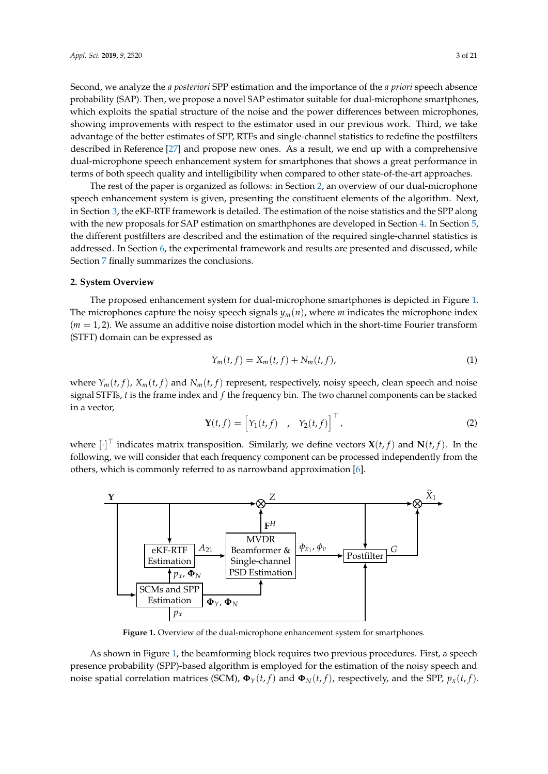Second, we analyze the *a posteriori* SPP estimation and the importance of the *a priori* speech absence probability (SAP). Then, we propose a novel SAP estimator suitable for dual-microphone smartphones, which exploits the spatial structure of the noise and the power differences between microphones, showing improvements with respect to the estimator used in our previous work. Third, we take advantage of the better estimates of SPP, RTFs and single-channel statistics to redefine the postfilters described in Reference [\[27\]](#page-19-16) and propose new ones. As a result, we end up with a comprehensive dual-microphone speech enhancement system for smartphones that shows a great performance in terms of both speech quality and intelligibility when compared to other state-of-the-art approaches.

The rest of the paper is organized as follows: in Section [2,](#page-2-0) an overview of our dual-microphone speech enhancement system is given, presenting the constituent elements of the algorithm. Next, in Section [3,](#page-3-0) the eKF-RTF framework is detailed. The estimation of the noise statistics and the SPP along with the new proposals for SAP estimation on smarthphones are developed in Section [4.](#page-6-0) In Section [5,](#page-10-0) the different postfilters are described and the estimation of the required single-channel statistics is addressed. In Section [6,](#page-12-0) the experimental framework and results are presented and discussed, while Section [7](#page-18-9) finally summarizes the conclusions.

# <span id="page-2-0"></span>**2. System Overview**

The proposed enhancement system for dual-microphone smartphones is depicted in Figure [1.](#page-2-1) The microphones capture the noisy speech signals  $y_m(n)$ , where *m* indicates the microphone index ( $m = 1, 2$ ). We assume an additive noise distortion model which in the short-time Fourier transform (STFT) domain can be expressed as

$$
Y_m(t,f) = X_m(t,f) + N_m(t,f),
$$
\n(1)

where  $Y_m(t, f)$ ,  $X_m(t, f)$  and  $N_m(t, f)$  represent, respectively, noisy speech, clean speech and noise signal STFTs, *t* is the frame index and *f* the frequency bin. The two channel components can be stacked in a vector,

$$
\mathbf{Y}(t,f) = \begin{bmatrix} Y_1(t,f) & , & Y_2(t,f) \end{bmatrix}^\top, \tag{2}
$$

where  $[\cdot]^\top$  indicates matrix transposition. Similarly, we define vectors  $\mathbf{X}(t, f)$  and  $\mathbf{N}(t, f)$ . In the following, we will consider that each frequency component can be processed independently from the others, which is commonly referred to as narrowband approximation [\[6\]](#page-18-5).

<span id="page-2-1"></span>

**Figure 1.** Overview of the dual-microphone enhancement system for smartphones.

As shown in Figure [1,](#page-2-1) the beamforming block requires two previous procedures. First, a speech presence probability (SPP)-based algorithm is employed for the estimation of the noisy speech and noise spatial correlation matrices (SCM),  $\Phi_Y(t, f)$  and  $\Phi_N(t, f)$ , respectively, and the SPP,  $p_X(t, f)$ .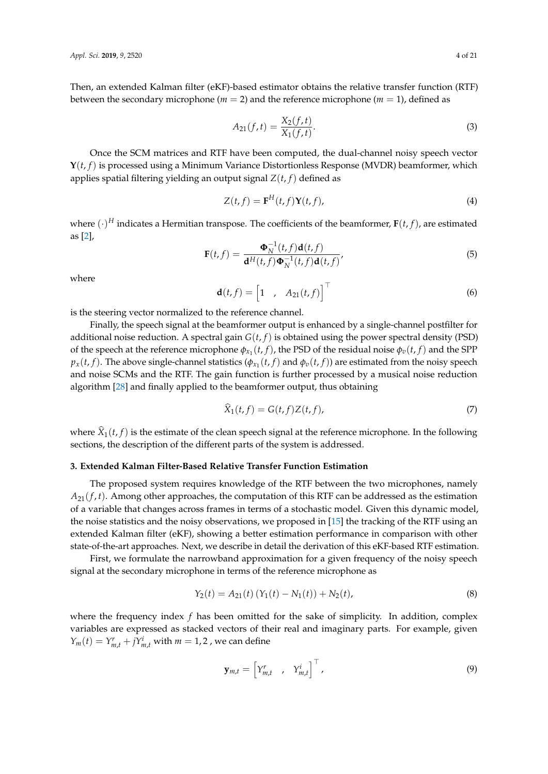Then, an extended Kalman filter (eKF)-based estimator obtains the relative transfer function (RTF) between the secondary microphone (*m* = 2) and the reference microphone (*m* = 1), defined as

<span id="page-3-2"></span>
$$
A_{21}(f,t) = \frac{X_2(f,t)}{X_1(f,t)}.\t(3)
$$

Once the SCM matrices and RTF have been computed, the dual-channel noisy speech vector **Y**(*t*, *f*) is processed using a Minimum Variance Distortionless Response (MVDR) beamformer, which applies spatial filtering yielding an output signal  $Z(t, f)$  defined as

$$
Z(t,f) = \mathbf{F}^{H}(t,f)\mathbf{Y}(t,f),
$$
\n(4)

where  $(\cdot)^H$  indicates a Hermitian transpose. The coefficients of the beamformer,  $\mathbf{F}(t, f)$ , are estimated as [\[2\]](#page-18-1),

$$
\mathbf{F}(t,f) = \frac{\mathbf{\Phi}_N^{-1}(t,f)\mathbf{d}(t,f)}{\mathbf{d}^H(t,f)\mathbf{\Phi}_N^{-1}(t,f)\mathbf{d}(t,f)},\tag{5}
$$

where

$$
\mathbf{d}(t,f) = \begin{bmatrix} 1 & , & A_{21}(t,f) \end{bmatrix}^\top \tag{6}
$$

is the steering vector normalized to the reference channel.

Finally, the speech signal at the beamformer output is enhanced by a single-channel postfilter for additional noise reduction. A spectral gain  $G(t, f)$  is obtained using the power spectral density (PSD) of the speech at the reference microphone  $\phi_{x_1}(t, f)$ , the PSD of the residual noise  $\phi_v(t, f)$  and the SPP  $p_x(t,f)$ . The above single-channel statistics ( $\phi_{x_1}(t,f)$  and  $\phi_v(t,f)$ ) are estimated from the noisy speech and noise SCMs and the RTF. The gain function is further processed by a musical noise reduction algorithm [\[28\]](#page-19-17) and finally applied to the beamformer output, thus obtaining

$$
\hat{X}_1(t,f) = G(t,f)Z(t,f),\tag{7}
$$

where  $\hat{X}_1(t, f)$  is the estimate of the clean speech signal at the reference microphone. In the following sections, the description of the different parts of the system is addressed.

# <span id="page-3-0"></span>**3. Extended Kalman Filter-Based Relative Transfer Function Estimation**

The proposed system requires knowledge of the RTF between the two microphones, namely  $A_{21}(f, t)$ . Among other approaches, the computation of this RTF can be addressed as the estimation of a variable that changes across frames in terms of a stochastic model. Given this dynamic model, the noise statistics and the noisy observations, we proposed in [\[15\]](#page-19-5) the tracking of the RTF using an extended Kalman filter (eKF), showing a better estimation performance in comparison with other state-of-the-art approaches. Next, we describe in detail the derivation of this eKF-based RTF estimation.

First, we formulate the narrowband approximation for a given frequency of the noisy speech signal at the secondary microphone in terms of the reference microphone as

<span id="page-3-1"></span>
$$
Y_2(t) = A_{21}(t) (Y_1(t) - N_1(t)) + N_2(t),
$$
\n(8)

where the frequency index *f* has been omitted for the sake of simplicity. In addition, complex variables are expressed as stacked vectors of their real and imaginary parts. For example, given  $Y_m(t) = Y_{m,t}^r + jY_{m,t}^i$  with  $m = 1, 2$  , we can define

$$
\mathbf{y}_{m,t} = \begin{bmatrix} Y_{m,t}^r & , & Y_{m,t}^i \end{bmatrix}^\top, \tag{9}
$$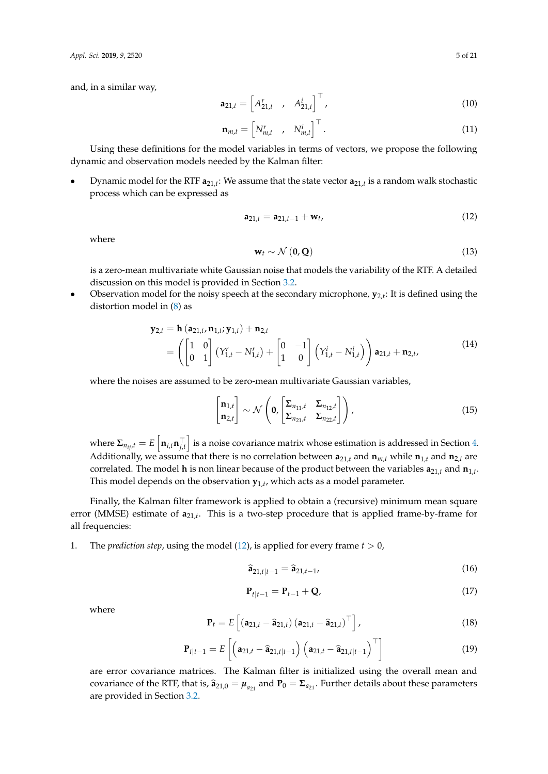and, in a similar way,

$$
\mathbf{a}_{21,t} = \begin{bmatrix} A_{21,t}^r & , & A_{21,t}^i \end{bmatrix}^\top, \tag{10}
$$

$$
\mathbf{n}_{m,t} = \begin{bmatrix} N_{m,t}^r & N_{m,t}^i \end{bmatrix}^\top.
$$
 (11)

Using these definitions for the model variables in terms of vectors, we propose the following dynamic and observation models needed by the Kalman filter:

• Dynamic model for the RTF **a**21,*<sup>t</sup>* : We assume that the state vector **a**21,*<sup>t</sup>* is a random walk stochastic process which can be expressed as

<span id="page-4-0"></span>
$$
\mathbf{a}_{21,t} = \mathbf{a}_{21,t-1} + \mathbf{w}_t, \tag{12}
$$

where

$$
\mathbf{w}_t \sim \mathcal{N}\left(\mathbf{0}, \mathbf{Q}\right) \tag{13}
$$

is a zero-mean multivariate white Gaussian noise that models the variability of the RTF. A detailed discussion on this model is provided in Section [3.2.](#page-6-1)

• Observation model for the noisy speech at the secondary microphone, **y**2,*<sup>t</sup>* : It is defined using the distortion model in [\(8\)](#page-3-1) as

<span id="page-4-1"></span>
$$
\mathbf{y}_{2,t} = \mathbf{h} \left( \mathbf{a}_{21,t}, \mathbf{n}_{1,t}; \mathbf{y}_{1,t} \right) + \mathbf{n}_{2,t} \n= \left( \begin{bmatrix} 1 & 0 \\ 0 & 1 \end{bmatrix} \left( Y_{1,t}^r - N_{1,t}^r \right) + \begin{bmatrix} 0 & -1 \\ 1 & 0 \end{bmatrix} \left( Y_{1,t}^i - N_{1,t}^i \right) \right) \mathbf{a}_{21,t} + \mathbf{n}_{2,t},
$$
\n(14)

where the noises are assumed to be zero-mean multivariate Gaussian variables,

$$
\begin{bmatrix} \mathbf{n}_{1,t} \\ \mathbf{n}_{2,t} \end{bmatrix} \sim \mathcal{N} \left( \mathbf{0}, \begin{bmatrix} \Sigma_{n_{11},t} & \Sigma_{n_{12},t} \\ \Sigma_{n_{21},t} & \Sigma_{n_{22},t} \end{bmatrix} \right), \tag{15}
$$

where  $\Sigma_{n_{ij},t} = E\left[\mathbf{n}_{i,t}\mathbf{n}_{j,t}^{\top}\right]$  is a noise covariance matrix whose estimation is addressed in Section [4.](#page-6-0) Additionally, we assume that there is no correlation between  $\mathbf{a}_{21,t}$  and  $\mathbf{n}_{m,t}$  while  $\mathbf{n}_{1,t}$  and  $\mathbf{n}_{2,t}$  are correlated. The model **h** is non linear because of the product between the variables  $a_{21,t}$  and  $\mathbf{n}_{1,t}$ . This model depends on the observation **y**1,*<sup>t</sup>* , which acts as a model parameter.

Finally, the Kalman filter framework is applied to obtain a (recursive) minimum mean square error (MMSE) estimate of **a**21,*<sup>t</sup>* . This is a two-step procedure that is applied frame-by-frame for all frequencies:

1. The *prediction step*, using the model [\(12\)](#page-4-0), is applied for every frame  $t > 0$ ,

$$
\widehat{\mathbf{a}}_{21,t|t-1} = \widehat{\mathbf{a}}_{21,t-1},\tag{16}
$$

$$
\mathbf{P}_{t|t-1} = \mathbf{P}_{t-1} + \mathbf{Q},\tag{17}
$$

where

$$
\mathbf{P}_{t} = E\left[ \left( \mathbf{a}_{21,t} - \widehat{\mathbf{a}}_{21,t} \right) \left( \mathbf{a}_{21,t} - \widehat{\mathbf{a}}_{21,t} \right)^{\top} \right],
$$
\n(18)

$$
\mathbf{P}_{t|t-1} = E\left[\left(\mathbf{a}_{21,t} - \widehat{\mathbf{a}}_{21,t|t-1}\right)\left(\mathbf{a}_{21,t} - \widehat{\mathbf{a}}_{21,t|t-1}\right)^{\top}\right]
$$
(19)

are error covariance matrices. The Kalman filter is initialized using the overall mean and covariance of the RTF, that is,  $\hat{a}_{21,0} = \mu_{a_{21}}$  and  $P_0 = \Sigma_{a_{21}}$ . Further details about these parameters are provided in Section [3.2.](#page-6-1)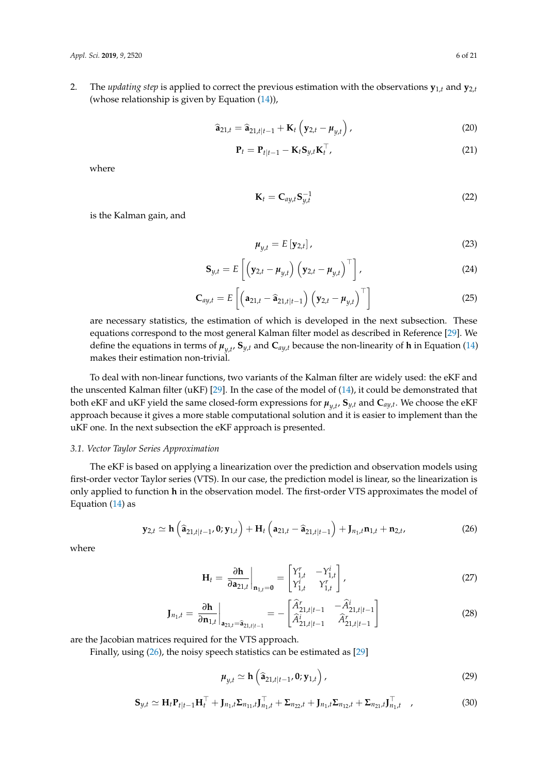2. The *updating step* is applied to correct the previous estimation with the observations **y**1,*<sup>t</sup>* and **y**2,*<sup>t</sup>* (whose relationship is given by Equation [\(14\)](#page-4-1)),

$$
\widehat{\mathbf{a}}_{21,t} = \widehat{\mathbf{a}}_{21,t|t-1} + \mathbf{K}_t \left( \mathbf{y}_{2,t} - \boldsymbol{\mu}_{y,t} \right), \qquad (20)
$$

$$
\mathbf{P}_t = \mathbf{P}_{t|t-1} - \mathbf{K}_t \mathbf{S}_{y,t} \mathbf{K}_t^\top,\tag{21}
$$

where

$$
\mathbf{K}_t = \mathbf{C}_{ay,t} \mathbf{S}_{y,t}^{-1} \tag{22}
$$

is the Kalman gain, and

$$
\mu_{y,t} = E\left[\mathbf{y}_{2,t}\right],\tag{23}
$$

$$
\mathbf{S}_{y,t} = E\left[\left(\mathbf{y}_{2,t} - \boldsymbol{\mu}_{y,t}\right)\left(\mathbf{y}_{2,t} - \boldsymbol{\mu}_{y,t}\right)^{\top}\right],\tag{24}
$$

$$
\mathbf{C}_{ay,t} = E\left[\left(\mathbf{a}_{21,t} - \widehat{\mathbf{a}}_{21,t|t-1}\right)\left(\mathbf{y}_{2,t} - \boldsymbol{\mu}_{y,t}\right)^{\top}\right]
$$
(25)

are necessary statistics, the estimation of which is developed in the next subsection. These equations correspond to the most general Kalman filter model as described in Reference [\[29\]](#page-19-18). We define the equations in terms of  $\mu_{y,t}$ ,  $\mathbf{S}_{y,t}$  and  $\mathbf{C}_{ay,t}$  because the non-linearity of **h** in Equation [\(14\)](#page-4-1) makes their estimation non-trivial.

To deal with non-linear functions, two variants of the Kalman filter are widely used: the eKF and the unscented Kalman filter (uKF) [\[29\]](#page-19-18). In the case of the model of [\(14\)](#page-4-1), it could be demonstrated that both eKF and uKF yield the same closed-form expressions for *µy*,*<sup>t</sup>* , **S***y*,*<sup>t</sup>* and **C***ay*,*<sup>t</sup>* . We choose the eKF approach because it gives a more stable computational solution and it is easier to implement than the uKF one. In the next subsection the eKF approach is presented.

#### *3.1. Vector Taylor Series Approximation*

The eKF is based on applying a linearization over the prediction and observation models using first-order vector Taylor series (VTS). In our case, the prediction model is linear, so the linearization is only applied to function **h** in the observation model. The first-order VTS approximates the model of Equation  $(14)$  as

<span id="page-5-0"></span>
$$
\mathbf{y}_{2,t} \simeq \mathbf{h}\left(\widehat{\mathbf{a}}_{21,t|t-1}, \mathbf{0}; \mathbf{y}_{1,t}\right) + \mathbf{H}_t\left(\mathbf{a}_{21,t} - \widehat{\mathbf{a}}_{21,t|t-1}\right) + \mathbf{J}_{n_1,t}\mathbf{n}_{1,t} + \mathbf{n}_{2,t},\tag{26}
$$

where

$$
\mathbf{H}_{t} = \left. \frac{\partial \mathbf{h}}{\partial \mathbf{a}_{21,t}} \right|_{\mathbf{n}_{1,t} = \mathbf{0}} = \begin{bmatrix} Y_{1,t}^r & -Y_{1,t}^i \\ Y_{1,t}^r & Y_{1,t}^r \end{bmatrix},
$$
(27)

$$
\mathbf{J}_{n_1,t} = \left. \frac{\partial \mathbf{h}}{\partial \mathbf{n}_{1,t}} \right|_{\mathbf{a}_{21,t} = \hat{\mathbf{a}}_{21,t|t-1}} = -\begin{bmatrix} \hat{A}_{21,t|t-1}^r & -\hat{A}_{21,t|t-1}^i \\ \hat{A}_{21,t|t-1}^i & \hat{A}_{21,t|t-1}^r \end{bmatrix}
$$
(28)

are the Jacobian matrices required for the VTS approach.

Finally, using [\(26\)](#page-5-0), the noisy speech statistics can be estimated as [\[29\]](#page-19-18)

$$
\mu_{y,t} \simeq \mathbf{h}\left(\widehat{\mathbf{a}}_{21,t|t-1}, \mathbf{0}; \mathbf{y}_{1,t}\right),\tag{29}
$$

<span id="page-5-1"></span>
$$
\mathbf{S}_{y,t} \simeq \mathbf{H}_t \mathbf{P}_{t|t-1} \mathbf{H}_t^\top + \mathbf{J}_{n_1,t} \boldsymbol{\Sigma}_{n_{11},t} \mathbf{J}_{n_1,t}^\top + \boldsymbol{\Sigma}_{n_{22},t} + \mathbf{J}_{n_1,t} \boldsymbol{\Sigma}_{n_{12},t} + \boldsymbol{\Sigma}_{n_{21},t} \mathbf{J}_{n_1,t}^\top ,
$$
(30)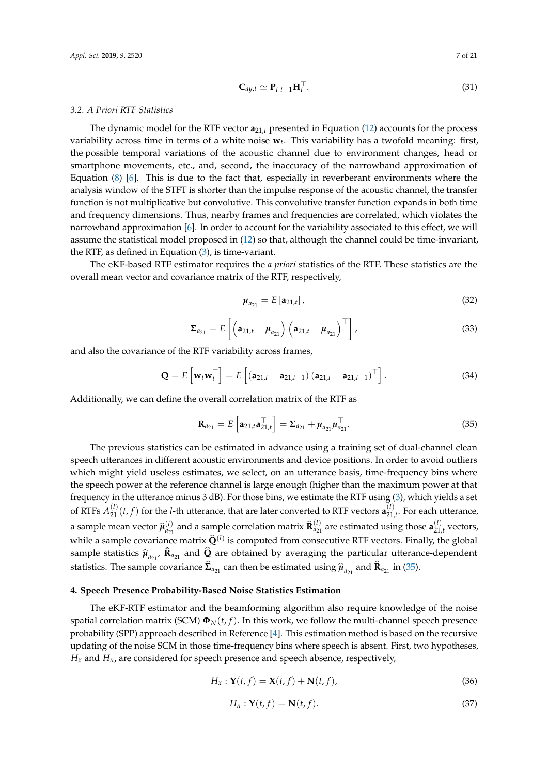#### <span id="page-6-1"></span>*3.2. A Priori RTF Statistics*

The dynamic model for the RTF vector **a**21,*<sup>t</sup>* presented in Equation [\(12\)](#page-4-0) accounts for the process variability across time in terms of a white noise **w***t* . This variability has a twofold meaning: first, the possible temporal variations of the acoustic channel due to environment changes, head or smartphone movements, etc., and, second, the inaccuracy of the narrowband approximation of Equation [\(8\)](#page-3-1) [\[6\]](#page-18-5). This is due to the fact that, especially in reverberant environments where the analysis window of the STFT is shorter than the impulse response of the acoustic channel, the transfer function is not multiplicative but convolutive. This convolutive transfer function expands in both time and frequency dimensions. Thus, nearby frames and frequencies are correlated, which violates the narrowband approximation [\[6\]](#page-18-5). In order to account for the variability associated to this effect, we will assume the statistical model proposed in [\(12\)](#page-4-0) so that, although the channel could be time-invariant, the RTF, as defined in Equation [\(3\)](#page-3-2), is time-variant.

The eKF-based RTF estimator requires the *a priori* statistics of the RTF. These statistics are the overall mean vector and covariance matrix of the RTF, respectively,

$$
\mu_{a_{21}} = E\left[a_{21,t}\right],\tag{32}
$$

$$
\Sigma_{a_{21}} = E\left[ \left( \mathbf{a}_{21,t} - \mu_{a_{21}} \right) \left( \mathbf{a}_{21,t} - \mu_{a_{21}} \right)^\top \right], \tag{33}
$$

and also the covariance of the RTF variability across frames,

$$
\mathbf{Q} = E\left[\mathbf{w}_t \mathbf{w}_t^\top\right] = E\left[\left(\mathbf{a}_{21,t} - \mathbf{a}_{21,t-1}\right)\left(\mathbf{a}_{21,t} - \mathbf{a}_{21,t-1}\right)^\top\right].\tag{34}
$$

Additionally, we can define the overall correlation matrix of the RTF as

<span id="page-6-2"></span>
$$
\mathbf{R}_{a_{21}} = E\left[\mathbf{a}_{21,t}\mathbf{a}_{21,t}^{\top}\right] = \Sigma_{a_{21}} + \mu_{a_{21}}\mu_{a_{21}}^{\top}.
$$
 (35)

The previous statistics can be estimated in advance using a training set of dual-channel clean speech utterances in different acoustic environments and device positions. In order to avoid outliers which might yield useless estimates, we select, on an utterance basis, time-frequency bins where the speech power at the reference channel is large enough (higher than the maximum power at that frequency in the utterance minus 3 dB). For those bins, we estimate the RTF using [\(3\)](#page-3-2), which yields a set of RTFs  $A_{21}^{(l)}(t,f)$  for the *l*-th utterance, that are later converted to RTF vectors  $\mathbf{a}_{21}^{(l)}$  $_{21,t}^{(i)}$ . For each utterance, a sample mean vector  $\widehat{\mu}_{a_{21}}^{(l)}$  and a sample correlation matrix  $\widehat{\mathbf{R}}_{a_{21}}^{(l)}$  are estimated using those  $\mathbf{a}_{21}^{(l)}$  $\sum_{21,t}^{t}$  vectors, while a sample covariance matrix  $\hat{Q}^{(l)}$  is computed from consecutive RTF vectors. Finally, the global sample statistics  $\hat{\mu}_{a_{21}}$ ,  $\mathbf{R}_{a_{21}}$  and  $\mathbf{Q}$  are obtained by averaging the particular utterance-dependent statistics. The sample covariance  $\Sigma_{a_{21}}$  can then be estimated using  $\widehat{\mu}_{a_{21}}$  and  $\mathbf{R}_{a_{21}}$  in [\(35\)](#page-6-2).

# <span id="page-6-0"></span>**4. Speech Presence Probability-Based Noise Statistics Estimation**

The eKF-RTF estimator and the beamforming algorithm also require knowledge of the noise spatial correlation matrix (SCM)  $\Phi_N(t, f)$ . In this work, we follow the multi-channel speech presence probability (SPP) approach described in Reference [\[4\]](#page-18-3). This estimation method is based on the recursive updating of the noise SCM in those time-frequency bins where speech is absent. First, two hypotheses,  $H_x$  and  $H_n$ , are considered for speech presence and speech absence, respectively,

<span id="page-6-3"></span>
$$
H_x: \mathbf{Y}(t, f) = \mathbf{X}(t, f) + \mathbf{N}(t, f), \tag{36}
$$

<span id="page-6-4"></span>
$$
H_n: \mathbf{Y}(t, f) = \mathbf{N}(t, f). \tag{37}
$$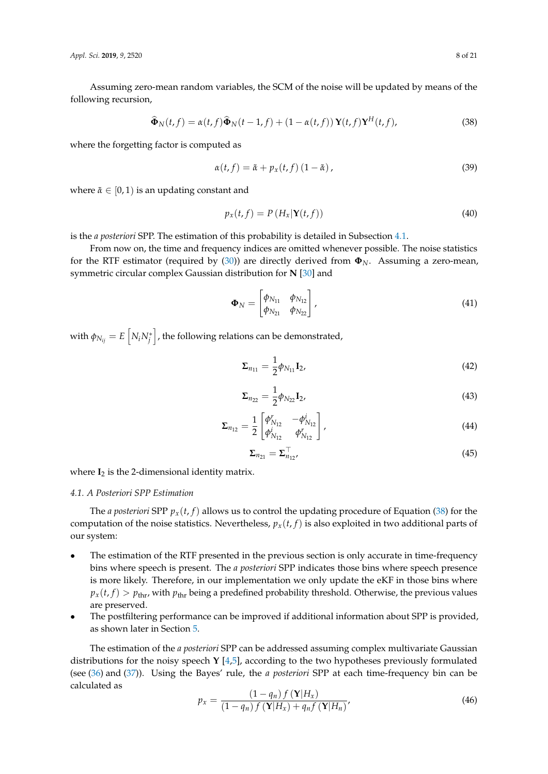Assuming zero-mean random variables, the SCM of the noise will be updated by means of the following recursion,

<span id="page-7-1"></span>
$$
\widehat{\Phi}_N(t,f) = \alpha(t,f)\widehat{\Phi}_N(t-1,f) + (1-\alpha(t,f))\mathbf{Y}(t,f)\mathbf{Y}^H(t,f),
$$
\n(38)

where the forgetting factor is computed as

<span id="page-7-3"></span>
$$
\alpha(t,f) = \tilde{\alpha} + p_x(t,f) (1 - \tilde{\alpha}), \qquad (39)
$$

where  $\tilde{\alpha} \in [0, 1)$  is an updating constant and

$$
p_x(t,f) = P\left(H_x|\mathbf{Y}(t,f)\right) \tag{40}
$$

is the *a posteriori* SPP. The estimation of this probability is detailed in Subsection [4.1.](#page-7-0)

From now on, the time and frequency indices are omitted whenever possible. The noise statistics for the RTF estimator (required by [\(30\)](#page-5-1)) are directly derived from **Φ***N*. Assuming a zero-mean, symmetric circular complex Gaussian distribution for **N** [\[30\]](#page-20-0) and

$$
\Phi_N = \begin{bmatrix} \phi_{N_{11}} & \phi_{N_{12}} \\ \phi_{N_{21}} & \phi_{N_{22}} \end{bmatrix},
$$
\n(41)

with  $\phi_{N_{ij}} = E\left[N_iN_j^*\right]$ , the following relations can be demonstrated,

$$
\Sigma_{n_{11}} = \frac{1}{2} \phi_{N_{11}} I_2, \tag{42}
$$

$$
\Sigma_{n_{22}} = \frac{1}{2} \phi_{N_{22}} I_2,
$$
\n(43)

$$
\Sigma_{n_{12}} = \frac{1}{2} \begin{bmatrix} \phi_{N_{12}}^r & -\phi_{N_{12}}^i \\ \phi_{N_{12}}^i & \phi_{N_{12}}^r \end{bmatrix},
$$
\n(44)

$$
\Sigma_{n_{21}} = \Sigma_{n_{12}}^{\top} \tag{45}
$$

where  $I_2$  is the 2-dimensional identity matrix.

#### <span id="page-7-0"></span>*4.1. A Posteriori SPP Estimation*

The *a posteriori* SPP  $p_x(t, f)$  allows us to control the updating procedure of Equation [\(38\)](#page-7-1) for the computation of the noise statistics. Nevertheless,  $p_x(t, f)$  is also exploited in two additional parts of our system:

- The estimation of the RTF presented in the previous section is only accurate in time-frequency bins where speech is present. The *a posteriori* SPP indicates those bins where speech presence is more likely. Therefore, in our implementation we only update the eKF in those bins where  $p_x(t, f) > p_{\text{thr}}$ , with  $p_{\text{thr}}$  being a predefined probability threshold. Otherwise, the previous values are preserved.
- The postfiltering performance can be improved if additional information about SPP is provided, as shown later in Section [5.](#page-10-0)

The estimation of the *a posteriori* SPP can be addressed assuming complex multivariate Gaussian distributions for the noisy speech **Y** [\[4](#page-18-3)[,5\]](#page-18-4), according to the two hypotheses previously formulated (see [\(36\)](#page-6-3) and [\(37\)](#page-6-4)). Using the Bayes' rule, the *a posteriori* SPP at each time-frequency bin can be calculated as

<span id="page-7-2"></span>
$$
p_x = \frac{\left(1 - q_n\right) f\left(\mathbf{Y} | H_x\right)}{\left(1 - q_n\right) f\left(\mathbf{Y} | H_x\right) + q_n f\left(\mathbf{Y} | H_n\right)},\tag{46}
$$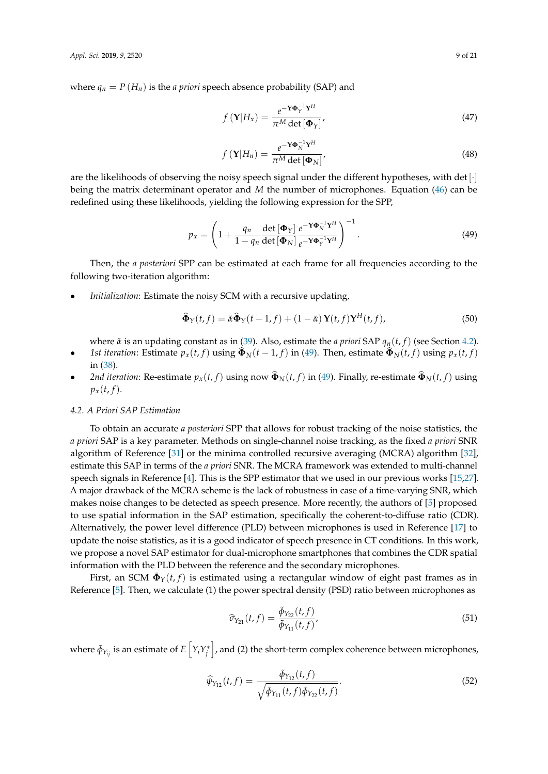where  $q_n = P(H_n)$  is the *a priori* speech absence probability (SAP) and

$$
f(\mathbf{Y}|H_x) = \frac{e^{-\mathbf{Y}\mathbf{\Phi}_Y^{-1}\mathbf{Y}^H}}{\pi^M \det[\mathbf{\Phi}_Y]},
$$
\n(47)

$$
f(\mathbf{Y}|H_n) = \frac{e^{-\mathbf{Y}\mathbf{\Phi}_N^{-1}\mathbf{Y}^H}}{\pi^M \det[\mathbf{\Phi}_N]},
$$
\n(48)

are the likelihoods of observing the noisy speech signal under the different hypotheses, with det [·] being the matrix determinant operator and *M* the number of microphones. Equation [\(46\)](#page-7-2) can be redefined using these likelihoods, yielding the following expression for the SPP,

<span id="page-8-1"></span>
$$
p_{x} = \left(1 + \frac{q_{n}}{1 - q_{n}} \frac{\det\left[\mathbf{\Phi}_{Y}\right]}{\det\left[\mathbf{\Phi}_{N}\right]} \frac{e^{-\mathbf{Y}\mathbf{\Phi}_{N}^{-1}\mathbf{Y}^{H}}}{e^{-\mathbf{Y}\mathbf{\Phi}_{Y}^{-1}\mathbf{Y}^{H}}}\right)^{-1}.
$$
\n(49)

Then, the *a posteriori* SPP can be estimated at each frame for all frequencies according to the following two-iteration algorithm:

• *Initialization*: Estimate the noisy SCM with a recursive updating,

<span id="page-8-3"></span>
$$
\widehat{\Phi}_Y(t,f) = \tilde{\alpha}\widehat{\Phi}_Y(t-1,f) + (1-\tilde{\alpha})\mathbf{Y}(t,f)\mathbf{Y}^H(t,f),
$$
\n(50)

where *α*˜ is an updating constant as in [\(39\)](#page-7-3). Also, estimate the *a priori* SAP *qn*(*t*, *f*) (see Section [4.2\)](#page-8-0).

- *1st iteration*: Estimate  $p_x(t, f)$  using  $\hat{\Phi}_N(t-1, f)$  in [\(49\)](#page-8-1). Then, estimate  $\hat{\Phi}_N(t, f)$  using  $p_x(t, f)$ in [\(38\)](#page-7-1).
- *2nd iteration*: Re-estimate  $p_x(t, f)$  using now  $\hat{\Phi}_N(t, f)$  in [\(49\)](#page-8-1). Finally, re-estimate  $\hat{\Phi}_N(t, f)$  using  $p_x(t, f)$ .

# <span id="page-8-0"></span>*4.2. A Priori SAP Estimation*

To obtain an accurate *a posteriori* SPP that allows for robust tracking of the noise statistics, the *a priori* SAP is a key parameter. Methods on single-channel noise tracking, as the fixed *a priori* SNR algorithm of Reference [\[31\]](#page-20-1) or the minima controlled recursive averaging (MCRA) algorithm [\[32\]](#page-20-2), estimate this SAP in terms of the *a priori* SNR. The MCRA framework was extended to multi-channel speech signals in Reference [\[4\]](#page-18-3). This is the SPP estimator that we used in our previous works [\[15,](#page-19-5)[27\]](#page-19-16). A major drawback of the MCRA scheme is the lack of robustness in case of a time-varying SNR, which makes noise changes to be detected as speech presence. More recently, the authors of [\[5\]](#page-18-4) proposed to use spatial information in the SAP estimation, specifically the coherent-to-diffuse ratio (CDR). Alternatively, the power level difference (PLD) between microphones is used in Reference [\[17\]](#page-19-7) to update the noise statistics, as it is a good indicator of speech presence in CT conditions. In this work, we propose a novel SAP estimator for dual-microphone smartphones that combines the CDR spatial information with the PLD between the reference and the secondary microphones.

First, an SCM  $\tilde{\Phi}_Y(t,f)$  is estimated using a rectangular window of eight past frames as in Reference [\[5\]](#page-18-4). Then, we calculate (1) the power spectral density (PSD) ratio between microphones as

$$
\widehat{\sigma}_{Y_{21}}(t,f) = \frac{\tilde{\phi}_{Y_{22}}(t,f)}{\tilde{\phi}_{Y_{11}}(t,f)},
$$
\n(51)

where  $\tilde{\phi}_{Y_{ij}}$  is an estimate of  $E\left[Y_iY_j^*\right]$ , and (2) the short-term complex coherence between microphones,

<span id="page-8-2"></span>
$$
\widehat{\psi}_{Y_{12}}(t,f) = \frac{\tilde{\phi}_{Y_{12}}(t,f)}{\sqrt{\tilde{\phi}_{Y_{11}}(t,f)\tilde{\phi}_{Y_{22}}(t,f)}}.
$$
\n(52)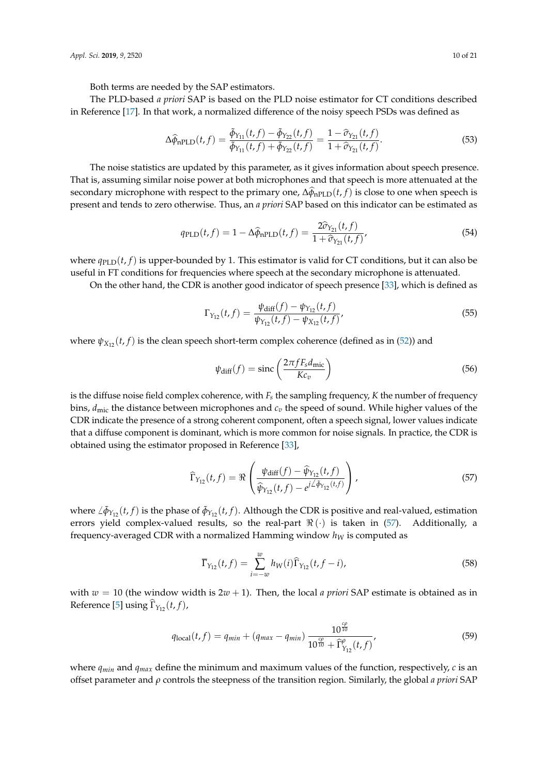Both terms are needed by the SAP estimators.

The PLD-based *a priori* SAP is based on the PLD noise estimator for CT conditions described in Reference [\[17\]](#page-19-7). In that work, a normalized difference of the noisy speech PSDs was defined as

$$
\Delta\widehat{\phi}_{\text{nPLD}}(t,f) = \frac{\tilde{\phi}_{Y_{11}}(t,f) - \tilde{\phi}_{Y_{22}}(t,f)}{\tilde{\phi}_{Y_{11}}(t,f) + \tilde{\phi}_{Y_{22}}(t,f)} = \frac{1 - \hat{\sigma}_{Y_{21}}(t,f)}{1 + \hat{\sigma}_{Y_{21}}(t,f)}.
$$
\n(53)

The noise statistics are updated by this parameter, as it gives information about speech presence. That is, assuming similar noise power at both microphones and that speech is more attenuated at the secondary microphone with respect to the primary one,  $\Delta \hat{\phi}_{nPLD}(t, f)$  is close to one when speech is present and tends to zero otherwise. Thus, an *a priori* SAP based on this indicator can be estimated as

$$
q_{\text{PLD}}(t,f) = 1 - \Delta \hat{\phi}_{\text{nPLD}}(t,f) = \frac{2\hat{\sigma}_{Y_{21}}(t,f)}{1 + \hat{\sigma}_{Y_{21}}(t,f)},
$$
\n(54)

where  $q_{PLD}(t, f)$  is upper-bounded by 1. This estimator is valid for CT conditions, but it can also be useful in FT conditions for frequencies where speech at the secondary microphone is attenuated.

On the other hand, the CDR is another good indicator of speech presence [\[33\]](#page-20-3), which is defined as

$$
\Gamma_{Y_{12}}(t,f) = \frac{\psi_{\text{diff}}(f) - \psi_{Y_{12}}(t,f)}{\psi_{Y_{12}}(t,f) - \psi_{X_{12}}(t,f)},\tag{55}
$$

where  $\psi_{X_{12}}(t, f)$  is the clean speech short-term complex coherence (defined as in [\(52\)](#page-8-2)) and

$$
\psi_{\text{diff}}(f) = \text{sinc}\left(\frac{2\pi f F_s d_{\text{mic}}}{Kc_v}\right) \tag{56}
$$

is the diffuse noise field complex coherence, with *F<sup>s</sup>* the sampling frequency, *K* the number of frequency bins, *d*mic the distance between microphones and *c<sup>v</sup>* the speed of sound. While higher values of the CDR indicate the presence of a strong coherent component, often a speech signal, lower values indicate that a diffuse component is dominant, which is more common for noise signals. In practice, the CDR is obtained using the estimator proposed in Reference [\[33\]](#page-20-3),

<span id="page-9-0"></span>
$$
\widehat{\Gamma}_{Y_{12}}(t,f) = \Re \left( \frac{\psi_{\text{diff}}(f) - \widehat{\psi}_{Y_{12}}(t,f)}{\widehat{\psi}_{Y_{12}}(t,f) - e^{j\angle \widehat{\phi}_{Y_{12}}(t,f)}} \right),\tag{57}
$$

where  $\angle \tilde{\phi}_{Y_{12}}(t, f)$  is the phase of  $\tilde{\phi}_{Y_{12}}(t, f)$ . Although the CDR is positive and real-valued, estimation errors yield complex-valued results, so the real-part  $\Re(\cdot)$  is taken in [\(57\)](#page-9-0). Additionally, a frequency-averaged CDR with a normalized Hamming window  $h_W$  is computed as

$$
\overline{\Gamma}_{Y_{12}}(t,f) = \sum_{i=-w}^{w} h_W(i) \widehat{\Gamma}_{Y_{12}}(t,f-i),
$$
\n(58)

with  $w = 10$  (the window width is  $2w + 1$ ). Then, the local *a priori* SAP estimate is obtained as in Reference [\[5\]](#page-18-4) using  $\widehat{\Gamma}_{Y_{12}}(t, f)$ ,

<span id="page-9-1"></span>
$$
q_{\text{local}}(t,f) = q_{\min} + (q_{\max} - q_{\min}) \frac{10^{\frac{c\rho}{10}}}{10^{\frac{c\rho}{10}} + \hat{\Gamma}^{\rho}_{Y_{12}}(t,f)},\tag{59}
$$

where *qmin* and *qmax* define the minimum and maximum values of the function, respectively, *c* is an offset parameter and *ρ* controls the steepness of the transition region. Similarly, the global *a priori* SAP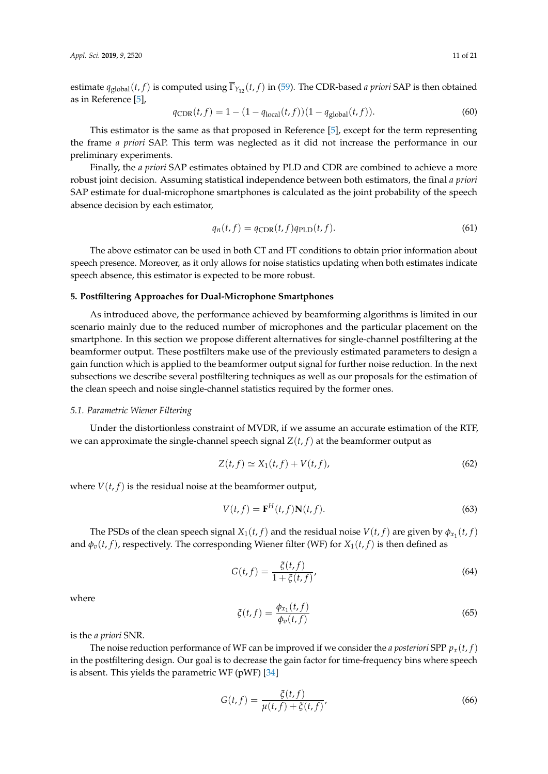estimate  $q_{\text{global}}(t, f)$  is computed using  $\overline{\Gamma}_{Y_{12}}(t, f)$  in [\(59\)](#page-9-1). The CDR-based *a priori* SAP is then obtained as in Reference [\[5\]](#page-18-4),

$$
q_{\text{CDR}}(t,f) = 1 - (1 - q_{\text{local}}(t,f))(1 - q_{\text{global}}(t,f)).
$$
\n(60)

This estimator is the same as that proposed in Reference [\[5\]](#page-18-4), except for the term representing the frame *a priori* SAP. This term was neglected as it did not increase the performance in our preliminary experiments.

Finally, the *a priori* SAP estimates obtained by PLD and CDR are combined to achieve a more robust joint decision. Assuming statistical independence between both estimators, the final *a priori* SAP estimate for dual-microphone smartphones is calculated as the joint probability of the speech absence decision by each estimator,

$$
q_n(t,f) = q_{\text{CDR}}(t,f)q_{\text{PLD}}(t,f). \tag{61}
$$

The above estimator can be used in both CT and FT conditions to obtain prior information about speech presence. Moreover, as it only allows for noise statistics updating when both estimates indicate speech absence, this estimator is expected to be more robust.

# <span id="page-10-0"></span>**5. Postfiltering Approaches for Dual-Microphone Smartphones**

As introduced above, the performance achieved by beamforming algorithms is limited in our scenario mainly due to the reduced number of microphones and the particular placement on the smartphone. In this section we propose different alternatives for single-channel postfiltering at the beamformer output. These postfilters make use of the previously estimated parameters to design a gain function which is applied to the beamformer output signal for further noise reduction. In the next subsections we describe several postfiltering techniques as well as our proposals for the estimation of the clean speech and noise single-channel statistics required by the former ones.

#### *5.1. Parametric Wiener Filtering*

Under the distortionless constraint of MVDR, if we assume an accurate estimation of the RTF, we can approximate the single-channel speech signal  $Z(t, f)$  at the beamformer output as

$$
Z(t,f) \simeq X_1(t,f) + V(t,f),\tag{62}
$$

where  $V(t, f)$  is the residual noise at the beamformer output,

$$
V(t,f) = \mathbf{F}^{H}(t,f)\mathbf{N}(t,f).
$$
\n(63)

The PSDs of the clean speech signal  $X_1(t, f)$  and the residual noise  $V(t, f)$  are given by  $\phi_{X_1}(t, f)$ and  $\phi_v(t, f)$ , respectively. The corresponding Wiener filter (WF) for  $X_1(t, f)$  is then defined as

<span id="page-10-1"></span>
$$
G(t,f) = \frac{\xi(t,f)}{1 + \xi(t,f)},
$$
\n(64)

where

$$
\zeta(t,f) = \frac{\phi_{x_1}(t,f)}{\phi_v(t,f)}
$$
\n(65)

is the *a priori* SNR.

The noise reduction performance of WF can be improved if we consider the *a posteriori* SPP  $p_x(t, f)$ in the postfiltering design. Our goal is to decrease the gain factor for time-frequency bins where speech is absent. This yields the parametric WF (pWF) [\[34\]](#page-20-4)

$$
G(t,f) = \frac{\xi(t,f)}{\mu(t,f) + \xi(t,f)},
$$
\n(66)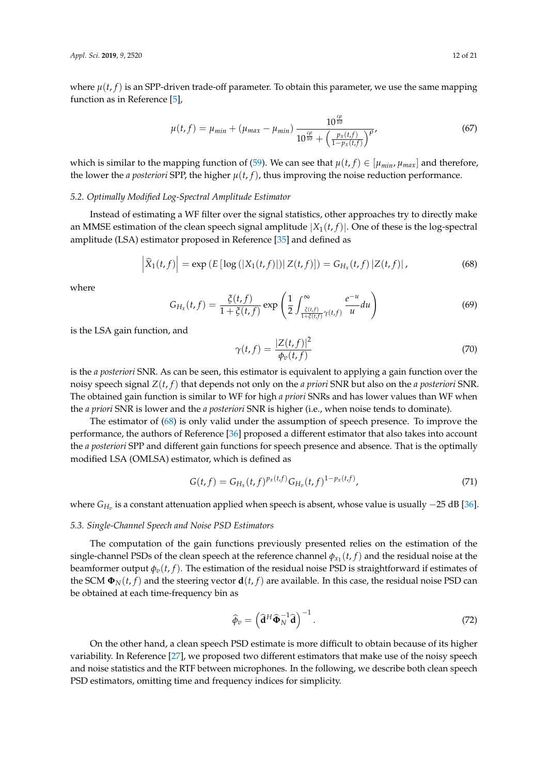where  $\mu(t, f)$  is an SPP-driven trade-off parameter. To obtain this parameter, we use the same mapping function as in Reference [\[5\]](#page-18-4),

$$
\mu(t,f) = \mu_{min} + (\mu_{max} - \mu_{min}) \frac{10^{\frac{cp}{10}}}{10^{\frac{cp}{10}} + \left(\frac{p_x(t,f)}{1 - p_x(t,f)}\right)^p},\tag{67}
$$

which is similar to the mapping function of [\(59\)](#page-9-1). We can see that  $\mu(t, f) \in [\mu_{min}, \mu_{max}]$  and therefore, the lower the *a posteriori* SPP, the higher  $\mu(t, f)$ , thus improving the noise reduction performance.

# *5.2. Optimally Modified Log-Spectral Amplitude Estimator*

Instead of estimating a WF filter over the signal statistics, other approaches try to directly make an MMSE estimation of the clean speech signal amplitude  $|X_1(t, f)|$ . One of these is the log-spectral amplitude (LSA) estimator proposed in Reference [\[35\]](#page-20-5) and defined as

<span id="page-11-0"></span>
$$
\left| \widehat{X}_1(t,f) \right| = \exp \left( E \left[ \log \left( |X_1(t,f)| \right) | Z(t,f) \right] \right) = G_{H_x}(t,f) \left| Z(t,f) \right|, \tag{68}
$$

where

$$
G_{H_x}(t,f) = \frac{\xi(t,f)}{1+\xi(t,f)} \exp\left(\frac{1}{2} \int_{\frac{\xi(t,f)}{1+\xi(t,f)} \gamma(t,f)}^{\infty} \frac{e^{-u}}{u} du\right)
$$
(69)

is the LSA gain function, and

$$
\gamma(t,f) = \frac{|Z(t,f)|^2}{\phi_v(t,f)}\tag{70}
$$

is the *a posteriori* SNR. As can be seen, this estimator is equivalent to applying a gain function over the noisy speech signal *Z*(*t*, *f*) that depends not only on the *a priori* SNR but also on the *a posteriori* SNR. The obtained gain function is similar to WF for high *a priori* SNRs and has lower values than WF when the *a priori* SNR is lower and the *a posteriori* SNR is higher (i.e., when noise tends to dominate).

The estimator of [\(68\)](#page-11-0) is only valid under the assumption of speech presence. To improve the performance, the authors of Reference [\[36\]](#page-20-6) proposed a different estimator that also takes into account the *a posteriori* SPP and different gain functions for speech presence and absence. That is the optimally modified LSA (OMLSA) estimator, which is defined as

$$
G(t,f) = G_{H_x}(t,f)^{p_x(t,f)} G_{H_v}(t,f)^{1-p_x(t,f)},
$$
\n(71)

where *GH<sup>v</sup>* is a constant attenuation applied when speech is absent, whose value is usually −25 dB [\[36\]](#page-20-6).

#### *5.3. Single-Channel Speech and Noise PSD Estimators*

The computation of the gain functions previously presented relies on the estimation of the single-channel PSDs of the clean speech at the reference channel  $\phi_{x_1}(t, f)$  and the residual noise at the beamformer output  $\phi_p(t, f)$ . The estimation of the residual noise PSD is straightforward if estimates of the SCM  $\Phi_N(t, f)$  and the steering vector  $\mathbf{d}(t, f)$  are available. In this case, the residual noise PSD can be obtained at each time-frequency bin as

$$
\widehat{\phi}_v = \left(\widehat{\mathbf{d}}^H \widehat{\mathbf{\Phi}}_N^{-1} \widehat{\mathbf{d}}\right)^{-1}.\tag{72}
$$

On the other hand, a clean speech PSD estimate is more difficult to obtain because of its higher variability. In Reference [\[27\]](#page-19-16), we proposed two different estimators that make use of the noisy speech and noise statistics and the RTF between microphones. In the following, we describe both clean speech PSD estimators, omitting time and frequency indices for simplicity.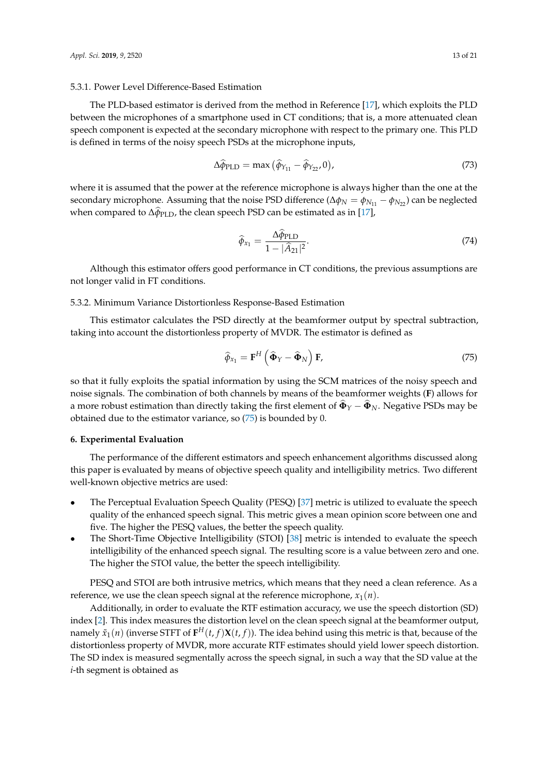#### 5.3.1. Power Level Difference-Based Estimation

The PLD-based estimator is derived from the method in Reference [\[17\]](#page-19-7), which exploits the PLD between the microphones of a smartphone used in CT conditions; that is, a more attenuated clean speech component is expected at the secondary microphone with respect to the primary one. This PLD is defined in terms of the noisy speech PSDs at the microphone inputs,

$$
\Delta \widehat{\phi}_{\text{PLD}} = \max \left( \widehat{\phi}_{Y_{11}} - \widehat{\phi}_{Y_{22}}, 0 \right),\tag{73}
$$

where it is assumed that the power at the reference microphone is always higher than the one at the secondary microphone. Assuming that the noise PSD difference ( $\Delta \phi_N = \phi_{N_{11}} - \phi_{N_{22}}$ ) can be neglected when compared to Δ $\widehat{\phi}_{\text{PLD}}$ , the clean speech PSD can be estimated as in [\[17\]](#page-19-7),

<span id="page-12-2"></span>
$$
\widehat{\phi}_{x_1} = \frac{\Delta \widehat{\phi}_{\text{PLD}}}{1 - |\widehat{A}_{21}|^2}.
$$
\n(74)

Although this estimator offers good performance in CT conditions, the previous assumptions are not longer valid in FT conditions.

#### 5.3.2. Minimum Variance Distortionless Response-Based Estimation

This estimator calculates the PSD directly at the beamformer output by spectral subtraction, taking into account the distortionless property of MVDR. The estimator is defined as

<span id="page-12-1"></span>
$$
\widehat{\phi}_{x_1} = \mathbf{F}^H \left( \widehat{\mathbf{\Phi}}_Y - \widehat{\mathbf{\Phi}}_N \right) \mathbf{F},\tag{75}
$$

so that it fully exploits the spatial information by using the SCM matrices of the noisy speech and noise signals. The combination of both channels by means of the beamformer weights (**F**) allows for a more robust estimation than directly taking the first element of  $\hat{\Phi}_Y - \hat{\Phi}_N$ . Negative PSDs may be obtained due to the estimator variance, so [\(75\)](#page-12-1) is bounded by 0.

#### <span id="page-12-0"></span>**6. Experimental Evaluation**

The performance of the different estimators and speech enhancement algorithms discussed along this paper is evaluated by means of objective speech quality and intelligibility metrics. Two different well-known objective metrics are used:

- The Perceptual Evaluation Speech Quality (PESQ) [\[37\]](#page-20-7) metric is utilized to evaluate the speech quality of the enhanced speech signal. This metric gives a mean opinion score between one and five. The higher the PESQ values, the better the speech quality.
- The Short-Time Objective Intelligibility (STOI) [\[38\]](#page-20-8) metric is intended to evaluate the speech intelligibility of the enhanced speech signal. The resulting score is a value between zero and one. The higher the STOI value, the better the speech intelligibility.

PESQ and STOI are both intrusive metrics, which means that they need a clean reference. As a reference, we use the clean speech signal at the reference microphone,  $x_1(n)$ .

Additionally, in order to evaluate the RTF estimation accuracy, we use the speech distortion (SD) index [\[2\]](#page-18-1). This index measures the distortion level on the clean speech signal at the beamformer output, namely  $\tilde{x}_1(n)$  (inverse STFT of  $\mathbf{F}^H(t,f)\mathbf{X}(t,f)$ ). The idea behind using this metric is that, because of the distortionless property of MVDR, more accurate RTF estimates should yield lower speech distortion. The SD index is measured segmentally across the speech signal, in such a way that the SD value at the *i*-th segment is obtained as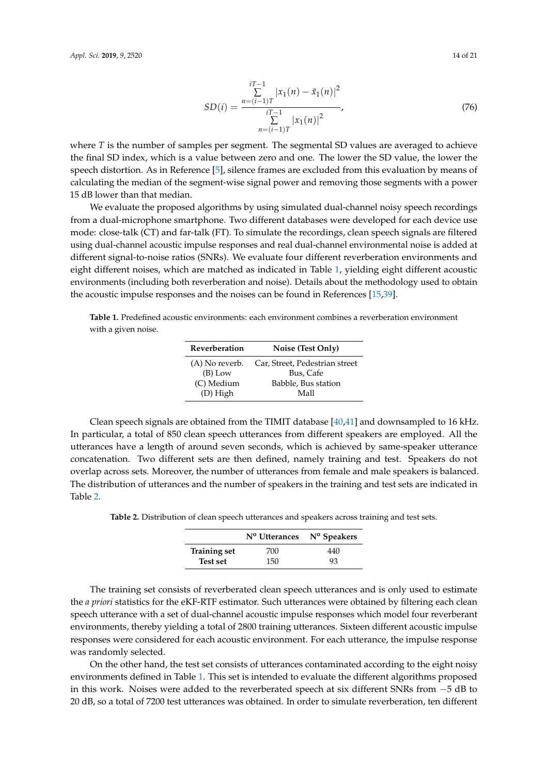$$
SD(i) = \frac{\sum_{n=(i-1)T}^{iT-1} |x_1(n) - \tilde{x}_1(n)|^2}{\sum_{n=(i-1)T}^{iT-1} |x_1(n)|^2},
$$
\n(76)

where *T* is the number of samples per segment. The segmental SD values are averaged to achieve the final SD index, which is a value between zero and one. The lower the SD value, the lower the speech distortion. As in Reference [\[5\]](#page-18-4), silence frames are excluded from this evaluation by means of calculating the median of the segment-wise signal power and removing those segments with a power 15 dB lower than that median.

We evaluate the proposed algorithms by using simulated dual-channel noisy speech recordings from a dual-microphone smartphone. Two different databases were developed for each device use mode: close-talk (CT) and far-talk (FT). To simulate the recordings, clean speech signals are filtered using dual-channel acoustic impulse responses and real dual-channel environmental noise is added at different signal-to-noise ratios (SNRs). We evaluate four different reverberation environments and eight different noises, which are matched as indicated in Table [1,](#page-13-0) yielding eight different acoustic environments (including both reverberation and noise). Details about the methodology used to obtain the acoustic impulse responses and the noises can be found in References [\[15,](#page-19-5)[39\]](#page-20-9).

<span id="page-13-0"></span>**Table 1.** Predefined acoustic environments: each environment combines a reverberation environment with a given noise.

| Reverberation | Noise (Test Only)                             |
|---------------|-----------------------------------------------|
|               | (A) No reverb. Car, Street, Pedestrian street |
| $(B)$ Low     | Bus, Cafe                                     |
| (C) Medium    | Babble, Bus station                           |
| (D) High      | Mall                                          |

Clean speech signals are obtained from the TIMIT database [\[40,](#page-20-10)[41\]](#page-20-11) and downsampled to 16 kHz. In particular, a total of 850 clean speech utterances from different speakers are employed. All the utterances have a length of around seven seconds, which is achieved by same-speaker utterance concatenation. Two different sets are then defined, namely training and test. Speakers do not overlap across sets. Moreover, the number of utterances from female and male speakers is balanced. The distribution of utterances and the number of speakers in the training and test sets are indicated in Table [2.](#page-13-1)

<span id="page-13-1"></span>**Table 2.** Distribution of clean speech utterances and speakers across training and test sets.

|                     | N <sup>o</sup> Utterances | $N^{\rm o}$ Speakers |
|---------------------|---------------------------|----------------------|
| <b>Training set</b> | 700                       | 440                  |
| <b>Test set</b>     | 150                       | 93                   |

The training set consists of reverberated clean speech utterances and is only used to estimate the *a priori* statistics for the eKF-RTF estimator. Such utterances were obtained by filtering each clean speech utterance with a set of dual-channel acoustic impulse responses which model four reverberant environments, thereby yielding a total of 2800 training utterances. Sixteen different acoustic impulse responses were considered for each acoustic environment. For each utterance, the impulse response was randomly selected.

On the other hand, the test set consists of utterances contaminated according to the eight noisy environments defined in Table [1.](#page-13-0) This set is intended to evaluate the different algorithms proposed in this work. Noises were added to the reverberated speech at six different SNRs from −5 dB to 20 dB, so a total of 7200 test utterances was obtained. In order to simulate reverberation, ten different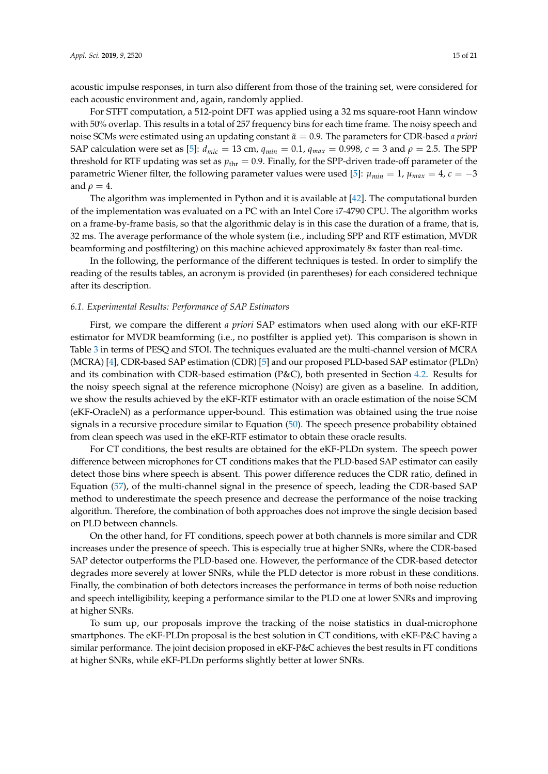acoustic impulse responses, in turn also different from those of the training set, were considered for each acoustic environment and, again, randomly applied.

For STFT computation, a 512-point DFT was applied using a 32 ms square-root Hann window with 50% overlap. This results in a total of 257 frequency bins for each time frame. The noisy speech and noise SCMs were estimated using an updating constant *α*˜ = 0.9. The parameters for CDR-based *a priori* SAP calculation were set as [\[5\]](#page-18-4):  $d_{mic} = 13$  cm,  $q_{min} = 0.1$ ,  $q_{max} = 0.998$ ,  $c = 3$  and  $\rho = 2.5$ . The SPP threshold for RTF updating was set as  $p_{thr} = 0.9$ . Finally, for the SPP-driven trade-off parameter of the parametric Wiener filter, the following parameter values were used [\[5\]](#page-18-4):  $\mu_{min} = 1$ ,  $\mu_{max} = 4$ ,  $c = -3$ and  $\rho = 4$ .

The algorithm was implemented in Python and it is available at [\[42\]](#page-20-12). The computational burden of the implementation was evaluated on a PC with an Intel Core i7-4790 CPU. The algorithm works on a frame-by-frame basis, so that the algorithmic delay is in this case the duration of a frame, that is, 32 ms. The average performance of the whole system (i.e., including SPP and RTF estimation, MVDR beamforming and postfiltering) on this machine achieved approximately 8x faster than real-time.

In the following, the performance of the different techniques is tested. In order to simplify the reading of the results tables, an acronym is provided (in parentheses) for each considered technique after its description.

### *6.1. Experimental Results: Performance of SAP Estimators*

First, we compare the different *a priori* SAP estimators when used along with our eKF-RTF estimator for MVDR beamforming (i.e., no postfilter is applied yet). This comparison is shown in Table [3](#page-15-0) in terms of PESQ and STOI. The techniques evaluated are the multi-channel version of MCRA (MCRA) [\[4\]](#page-18-3), CDR-based SAP estimation (CDR) [\[5\]](#page-18-4) and our proposed PLD-based SAP estimator (PLDn) and its combination with CDR-based estimation (P&C), both presented in Section [4.2.](#page-8-0) Results for the noisy speech signal at the reference microphone (Noisy) are given as a baseline. In addition, we show the results achieved by the eKF-RTF estimator with an oracle estimation of the noise SCM (eKF-OracleN) as a performance upper-bound. This estimation was obtained using the true noise signals in a recursive procedure similar to Equation [\(50\)](#page-8-3). The speech presence probability obtained from clean speech was used in the eKF-RTF estimator to obtain these oracle results.

For CT conditions, the best results are obtained for the eKF-PLDn system. The speech power difference between microphones for CT conditions makes that the PLD-based SAP estimator can easily detect those bins where speech is absent. This power difference reduces the CDR ratio, defined in Equation [\(57\)](#page-9-0), of the multi-channel signal in the presence of speech, leading the CDR-based SAP method to underestimate the speech presence and decrease the performance of the noise tracking algorithm. Therefore, the combination of both approaches does not improve the single decision based on PLD between channels.

On the other hand, for FT conditions, speech power at both channels is more similar and CDR increases under the presence of speech. This is especially true at higher SNRs, where the CDR-based SAP detector outperforms the PLD-based one. However, the performance of the CDR-based detector degrades more severely at lower SNRs, while the PLD detector is more robust in these conditions. Finally, the combination of both detectors increases the performance in terms of both noise reduction and speech intelligibility, keeping a performance similar to the PLD one at lower SNRs and improving at higher SNRs.

To sum up, our proposals improve the tracking of the noise statistics in dual-microphone smartphones. The eKF-PLDn proposal is the best solution in CT conditions, with eKF-P&C having a similar performance. The joint decision proposed in eKF-P&C achieves the best results in FT conditions at higher SNRs, while eKF-PLDn performs slightly better at lower SNRs.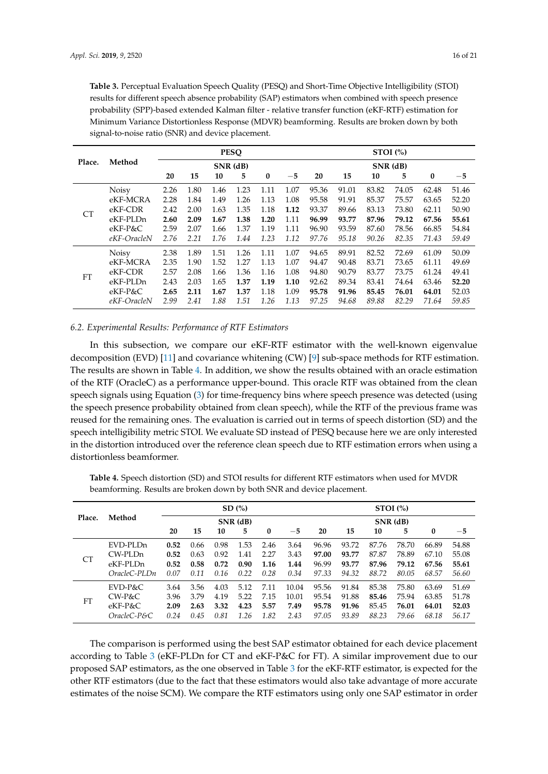<span id="page-15-0"></span>**Table 3.** Perceptual Evaluation Speech Quality (PESQ) and Short-Time Objective Intelligibility (STOI) results for different speech absence probability (SAP) estimators when combined with speech presence probability (SPP)-based extended Kalman filter - relative transfer function (eKF-RTF) estimation for Minimum Variance Distortionless Response (MDVR) beamforming. Results are broken down by both signal-to-noise ratio (SNR) and device placement.

|           |              |      |      |      | <b>PESO</b> |          |      | STOI(%)    |       |       |       |          |       |  |
|-----------|--------------|------|------|------|-------------|----------|------|------------|-------|-------|-------|----------|-------|--|
| Place.    | Method       |      |      |      | $SNR$ (dB)  |          |      | $SNR$ (dB) |       |       |       |          |       |  |
|           |              | 20   | 15   | 10   | 5           | $\bf{0}$ | $-5$ | 20         | 15    | 10    | 5     | $\bf{0}$ | $-5$  |  |
|           | <b>Noisy</b> | 2.26 | 1.80 | 1.46 | 1.23        | 1.11     | 1.07 | 95.36      | 91.01 | 83.82 | 74.05 | 62.48    | 51.46 |  |
|           | eKF-MCRA     | 2.28 | 1.84 | 1.49 | 1.26        | 1.13     | 1.08 | 95.58      | 91.91 | 85.37 | 75.57 | 63.65    | 52.20 |  |
| <b>CT</b> | eKF-CDR      | 2.42 | 2.00 | 1.63 | 1.35        | 1.18     | 1.12 | 93.37      | 89.66 | 83.13 | 73.80 | 62.11    | 50.90 |  |
|           | eKF-PLDn     | 2.60 | 2.09 | 1.67 | 1.38        | 1.20     | 1.11 | 96.99      | 93.77 | 87.96 | 79.12 | 67.56    | 55.61 |  |
|           | eKF-P&C      | 2.59 | 2.07 | 1.66 | 1.37        | 1.19     | 1.11 | 96.90      | 93.59 | 87.60 | 78.56 | 66.85    | 54.84 |  |
|           | eKF-OracleN  | 2.76 | 2.21 | 1.76 | 1.44        | 1.23     | 1.12 | 97.76      | 95.18 | 90.26 | 82.35 | 71.43    | 59.49 |  |
|           | <b>Noisy</b> | 2.38 | 1.89 | 1.51 | 1.26        | 1.11     | 1.07 | 94.65      | 89.91 | 82.52 | 72.69 | 61.09    | 50.09 |  |
|           | eKF-MCRA     | 2.35 | 1.90 | 1.52 | 1.27        | 1.13     | 1.07 | 94.47      | 90.48 | 83.71 | 73.65 | 61.11    | 49.69 |  |
|           | eKF-CDR      | 2.57 | 2.08 | 1.66 | 1.36        | 1.16     | 1.08 | 94.80      | 90.79 | 83.77 | 73.75 | 61.24    | 49.41 |  |
| FT        | eKF-PLDn     | 2.43 | 2.03 | 1.65 | 1.37        | 1.19     | 1.10 | 92.62      | 89.34 | 83.41 | 74.64 | 63.46    | 52.20 |  |
|           | $e$ KF-P&C   | 2.65 | 2.11 | 1.67 | 1.37        | 1.18     | 1.09 | 95.78      | 91.96 | 85.45 | 76.01 | 64.01    | 52.03 |  |
|           | eKF-OracleN  | 2.99 | 2.41 | 1.88 | 1.51        | 1.26     | 1.13 | 97.25      | 94.68 | 89.88 | 82.29 | 71.64    | 59.85 |  |

# *6.2. Experimental Results: Performance of RTF Estimators*

In this subsection, we compare our eKF-RTF estimator with the well-known eigenvalue decomposition (EVD) [\[11\]](#page-19-1) and covariance whitening (CW) [\[9\]](#page-18-8) sub-space methods for RTF estimation. The results are shown in Table [4.](#page-15-1) In addition, we show the results obtained with an oracle estimation of the RTF (OracleC) as a performance upper-bound. This oracle RTF was obtained from the clean speech signals using Equation [\(3\)](#page-3-2) for time-frequency bins where speech presence was detected (using the speech presence probability obtained from clean speech), while the RTF of the previous frame was reused for the remaining ones. The evaluation is carried out in terms of speech distortion (SD) and the speech intelligibility metric STOI. We evaluate SD instead of PESQ because here we are only interested in the distortion introduced over the reference clean speech due to RTF estimation errors when using a distortionless beamformer.

| Place.    |                                                        |                              |                              |                              | SD(%)                        |                              |                                | STOI(%)                          |                                  |                                  |                                  |                                  |                                  |
|-----------|--------------------------------------------------------|------------------------------|------------------------------|------------------------------|------------------------------|------------------------------|--------------------------------|----------------------------------|----------------------------------|----------------------------------|----------------------------------|----------------------------------|----------------------------------|
|           | Method                                                 |                              |                              |                              | $SNR$ (dB)                   |                              |                                | $SNR$ (dB)                       |                                  |                                  |                                  |                                  |                                  |
|           |                                                        | 20                           | 15                           | 10                           | 5                            | 0                            | $-5$                           | 20                               | 15                               | 10                               | 5                                | $\bf{0}$                         | $-5$                             |
| <b>CT</b> | EVD-PLDn<br>$CW-PI.Dn$<br>eKF-PLDn<br>$OracleC-PLDn$   | 0.52<br>0.52<br>0.52<br>0.07 | 0.66<br>0.63<br>0.58<br>0.11 | 0.98<br>0.92<br>0.72<br>0.16 | 1.53<br>1.41<br>0.90<br>0.22 | 2.46<br>2.27<br>1.16<br>0.28 | 3.64<br>3.43<br>1.44<br>0.34   | 96.96<br>97.00<br>96.99<br>97.33 | 93.72<br>93.77<br>93.77<br>94.32 | 87.76<br>87.87<br>87.96<br>88.72 | 78.70<br>78.89<br>79.12<br>80.05 | 66.89<br>67.10<br>67.56<br>68.57 | 54.88<br>55.08<br>55.61<br>56.60 |
| FT        | $EVD-P&C$<br>$CW-P\&C$<br>$e$ KF-P&C<br>$OracleC-P\&C$ | 3.64<br>3.96<br>2.09<br>0.24 | 3.56<br>3.79<br>2.63<br>0.45 | 4.03<br>4.19<br>3.32<br>0.81 | 5.12<br>5.22<br>4.23<br>1.26 | 7.11<br>7.15<br>5.57<br>1.82 | 10.04<br>10.01<br>7.49<br>2.43 | 95.56<br>95.54<br>95.78<br>97.05 | 91.84<br>91.88<br>91.96<br>93.89 | 85.38<br>85.46<br>85.45<br>88.23 | 75.80<br>75.94<br>76.01<br>79.66 | 63.69<br>63.85<br>64.01<br>68.18 | 51.69<br>51.78<br>52.03<br>56.17 |

<span id="page-15-1"></span>**Table 4.** Speech distortion (SD) and STOI results for different RTF estimators when used for MVDR beamforming. Results are broken down by both SNR and device placement.

The comparison is performed using the best SAP estimator obtained for each device placement according to Table [3](#page-15-0) (eKF-PLDn for CT and eKF-P&C for FT). A similar improvement due to our proposed SAP estimators, as the one observed in Table [3](#page-15-0) for the eKF-RTF estimator, is expected for the other RTF estimators (due to the fact that these estimators would also take advantage of more accurate estimates of the noise SCM). We compare the RTF estimators using only one SAP estimator in order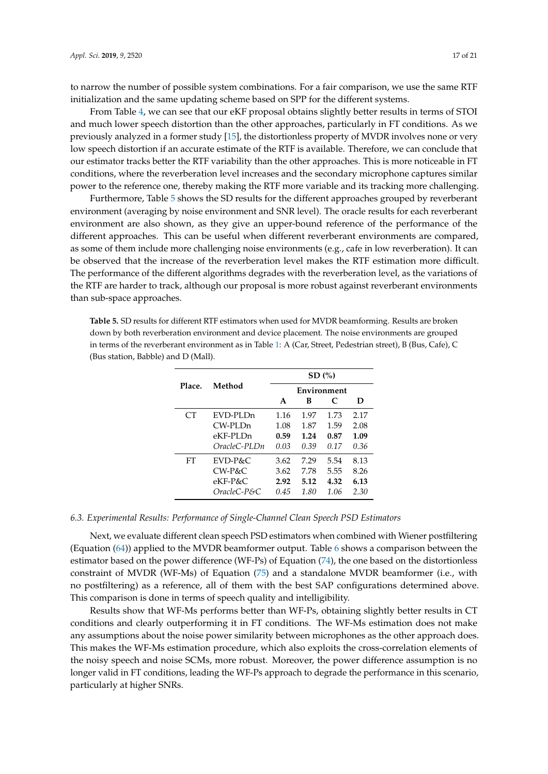to narrow the number of possible system combinations. For a fair comparison, we use the same RTF initialization and the same updating scheme based on SPP for the different systems.

From Table [4,](#page-15-1) we can see that our eKF proposal obtains slightly better results in terms of STOI and much lower speech distortion than the other approaches, particularly in FT conditions. As we previously analyzed in a former study [\[15\]](#page-19-5), the distortionless property of MVDR involves none or very low speech distortion if an accurate estimate of the RTF is available. Therefore, we can conclude that our estimator tracks better the RTF variability than the other approaches. This is more noticeable in FT conditions, where the reverberation level increases and the secondary microphone captures similar power to the reference one, thereby making the RTF more variable and its tracking more challenging.

Furthermore, Table [5](#page-16-0) shows the SD results for the different approaches grouped by reverberant environment (averaging by noise environment and SNR level). The oracle results for each reverberant environment are also shown, as they give an upper-bound reference of the performance of the different approaches. This can be useful when different reverberant environments are compared, as some of them include more challenging noise environments (e.g., cafe in low reverberation). It can be observed that the increase of the reverberation level makes the RTF estimation more difficult. The performance of the different algorithms degrades with the reverberation level, as the variations of the RTF are harder to track, although our proposal is more robust against reverberant environments than sub-space approaches.

<span id="page-16-0"></span>**Table 5.** SD results for different RTF estimators when used for MVDR beamforming. Results are broken down by both reverberation environment and device placement. The noise environments are grouped in terms of the reverberant environment as in Table [1:](#page-13-0) A (Car, Street, Pedestrian street), B (Bus, Cafe), C (Bus station, Babble) and D (Mall).

|                 |                | SD(%)       |      |      |      |  |  |  |  |
|-----------------|----------------|-------------|------|------|------|--|--|--|--|
| Place.          | Method         | Environment |      |      |      |  |  |  |  |
|                 |                | A           | в    | C    | D    |  |  |  |  |
| CT <sup>-</sup> | EVD-PLDn       | 1.16        | 1.97 | 1.73 | 2.17 |  |  |  |  |
|                 | CW-PLDn        | 1.08        | 1.87 | 1.59 | 2.08 |  |  |  |  |
|                 | eKF-PLDn       | 0.59        | 1.24 | 0.87 | 1.09 |  |  |  |  |
|                 | $OracleC-PLDn$ | 0.03        | 0.39 | 0.17 | 0.36 |  |  |  |  |
| FT              | EVD-P&C        | 3.62        | 7.29 | 5.54 | 8.13 |  |  |  |  |
|                 | $CW-P\&C$      | 3.62        | 7.78 | 5.55 | 8.26 |  |  |  |  |
|                 | eKF-P&C        | 2.92        | 5.12 | 4.32 | 6.13 |  |  |  |  |
|                 | OracleC-P&C    | 0.45        | 1.80 | 1.06 | 2.30 |  |  |  |  |

#### *6.3. Experimental Results: Performance of Single-Channel Clean Speech PSD Estimators*

Next, we evaluate different clean speech PSD estimators when combined with Wiener postfiltering (Equation [\(64\)](#page-10-1)) applied to the MVDR beamformer output. Table [6](#page-17-0) shows a comparison between the estimator based on the power difference (WF-Ps) of Equation [\(74\)](#page-12-2), the one based on the distortionless constraint of MVDR (WF-Ms) of Equation [\(75\)](#page-12-1) and a standalone MVDR beamformer (i.e., with no postfiltering) as a reference, all of them with the best SAP configurations determined above. This comparison is done in terms of speech quality and intelligibility.

Results show that WF-Ms performs better than WF-Ps, obtaining slightly better results in CT conditions and clearly outperforming it in FT conditions. The WF-Ms estimation does not make any assumptions about the noise power similarity between microphones as the other approach does. This makes the WF-Ms estimation procedure, which also exploits the cross-correlation elements of the noisy speech and noise SCMs, more robust. Moreover, the power difference assumption is no longer valid in FT conditions, leading the WF-Ps approach to degrade the performance in this scenario, particularly at higher SNRs.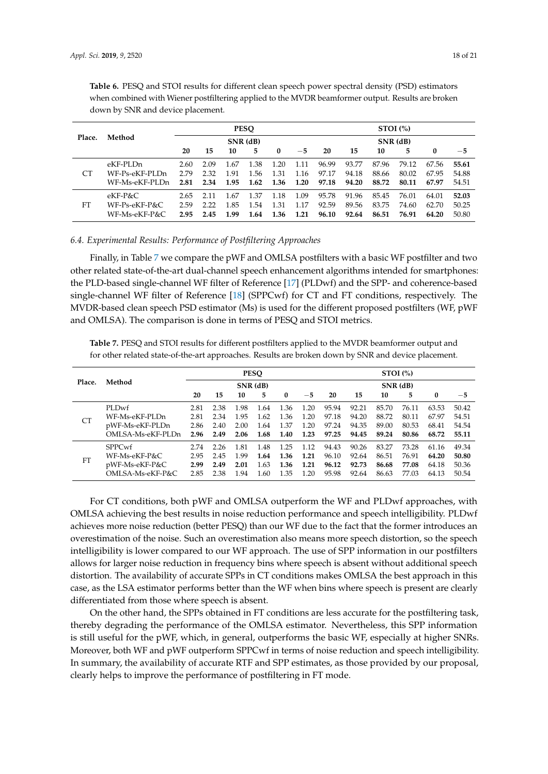|           |                                              | <b>PESO</b>          |                      |                      |                      |                      |                      |                         | STOI(%)                 |                         |                         |                         |                         |  |
|-----------|----------------------------------------------|----------------------|----------------------|----------------------|----------------------|----------------------|----------------------|-------------------------|-------------------------|-------------------------|-------------------------|-------------------------|-------------------------|--|
| Place.    | Method                                       |                      |                      |                      | $SNR$ (dB)           |                      |                      | $SNR$ (dB)              |                         |                         |                         |                         |                         |  |
|           |                                              | 20                   | 15                   | 10                   | 5                    | 0                    | $-5$                 | 20                      | 15                      | 10                      | 5                       | $\mathbf{0}$            | $-5$                    |  |
| <b>CT</b> | eKF-PLDn<br>WF-Ps-eKF-PLDn<br>WF-Ms-eKF-PLDn | 2.60<br>2.79<br>2.81 | 2.09<br>2.32<br>2.34 | 1.67<br>1.91<br>1.95 | 1.38<br>1.56<br>1.62 | 1.20<br>1.31<br>1.36 | 1.11<br>1.16<br>1.20 | 96.99<br>97.17<br>97.18 | 93.77<br>94.18<br>94.20 | 87.96<br>88.66<br>88.72 | 79.12<br>80.02<br>80.11 | 67.56<br>67.95<br>67.97 | 55.61<br>54.88<br>54.51 |  |
| FT        | eKF-P&C<br>WF-Ps-eKF-P&C<br>WF-Ms-eKF-P&C    | 2.65<br>2.59<br>2.95 | 2.11<br>2.22<br>2.45 | 1.67<br>1.85<br>1.99 | 1.37<br>1.54<br>1.64 | 1.18<br>1.31<br>1.36 | 1.09<br>1.17<br>1.21 | 95.78<br>92.59<br>96.10 | 91.96<br>89.56<br>92.64 | 85.45<br>83.75<br>86.51 | 76.01<br>74.60<br>76.91 | 64.01<br>62.70<br>64.20 | 52.03<br>50.25<br>50.80 |  |

<span id="page-17-0"></span>**Table 6.** PESQ and STOI results for different clean speech power spectral density (PSD) estimators when combined with Wiener postfiltering applied to the MVDR beamformer output. Results are broken down by SNR and device placement.

### *6.4. Experimental Results: Performance of Postfiltering Approaches*

Finally, in Table [7](#page-17-1) we compare the pWF and OMLSA postfilters with a basic WF postfilter and two other related state-of-the-art dual-channel speech enhancement algorithms intended for smartphones: the PLD-based single-channel WF filter of Reference [\[17\]](#page-19-7) (PLDwf) and the SPP- and coherence-based single-channel WF filter of Reference [\[18\]](#page-19-8) (SPPCwf) for CT and FT conditions, respectively. The MVDR-based clean speech PSD estimator (Ms) is used for the different proposed postfilters (WF, pWF and OMLSA). The comparison is done in terms of PESQ and STOI metrics.

<span id="page-17-1"></span>**Table 7.** PESQ and STOI results for different postfilters applied to the MVDR beamformer output and for other related state-of-the-art approaches. Results are broken down by SNR and device placement.

|           |                                                                       | <b>PESO</b>                  |                              |                              |                              |                              |                              |                                  | STOI(%)                          |                                  |                                  |                                  |                                  |  |  |
|-----------|-----------------------------------------------------------------------|------------------------------|------------------------------|------------------------------|------------------------------|------------------------------|------------------------------|----------------------------------|----------------------------------|----------------------------------|----------------------------------|----------------------------------|----------------------------------|--|--|
| Place.    | Method                                                                | SNR (dB)                     |                              |                              |                              |                              |                              |                                  | $SNR$ (dB)                       |                                  |                                  |                                  |                                  |  |  |
|           |                                                                       | 20                           | 15                           | 10                           | 5                            | 0                            | $-5$                         | 20                               | 15                               | 10                               | 5                                | $\bf{0}$                         | $-5$                             |  |  |
| <b>CT</b> | PLDwf<br>WF-Ms-eKF-PLDn<br>pWF-Ms-eKF-PLDn<br>OMLSA-Ms-eKF-PLDn       | 2.81<br>2.81<br>2.86<br>2.96 | 2.38<br>2.34<br>2.40<br>2.49 | 1.98<br>1.95<br>2.00<br>2.06 | 1.64<br>1.62<br>1.64<br>1.68 | 1.36<br>1.36<br>1.37<br>1.40 | 1.20<br>1.20<br>1.20<br>1.23 | 95.94<br>97.18<br>97.24<br>97.25 | 92.21<br>94.20<br>94.35<br>94.45 | 85.70<br>88.72<br>89.00<br>89.24 | 76.11<br>80.11<br>80.53<br>80.86 | 63.53<br>67.97<br>68.41<br>68.72 | 50.42<br>54.51<br>54.54<br>55.11 |  |  |
| FT        | <b>SPPC</b> wf<br>WF-Ms-eKF-P&C<br>pWF-Ms-eKF-P&C<br>OMLSA-Ms-eKF-P&C | 2.74<br>2.95<br>2.99<br>2.85 | 2.26<br>2.45<br>2.49<br>2.38 | 1.81<br>1.99<br>2.01<br>-94  | 1.48<br>1.64<br>1.63<br>1.60 | 1.25<br>1.36<br>1.36<br>1.35 | 1.12<br>1.21<br>1.21<br>1.20 | 94.43<br>96.10<br>96.12<br>95.98 | 90.26<br>92.64<br>92.73<br>92.64 | 83.27<br>86.51<br>86.68<br>86.63 | 73.28<br>76.91<br>77.08<br>77.03 | 61.16<br>64.20<br>64.18<br>64.13 | 49.34<br>50.80<br>50.36<br>50.54 |  |  |

For CT conditions, both pWF and OMLSA outperform the WF and PLDwf approaches, with OMLSA achieving the best results in noise reduction performance and speech intelligibility. PLDwf achieves more noise reduction (better PESQ) than our WF due to the fact that the former introduces an overestimation of the noise. Such an overestimation also means more speech distortion, so the speech intelligibility is lower compared to our WF approach. The use of SPP information in our postfilters allows for larger noise reduction in frequency bins where speech is absent without additional speech distortion. The availability of accurate SPPs in CT conditions makes OMLSA the best approach in this case, as the LSA estimator performs better than the WF when bins where speech is present are clearly differentiated from those where speech is absent.

On the other hand, the SPPs obtained in FT conditions are less accurate for the postfiltering task, thereby degrading the performance of the OMLSA estimator. Nevertheless, this SPP information is still useful for the pWF, which, in general, outperforms the basic WF, especially at higher SNRs. Moreover, both WF and pWF outperform SPPCwf in terms of noise reduction and speech intelligibility. In summary, the availability of accurate RTF and SPP estimates, as those provided by our proposal, clearly helps to improve the performance of postfiltering in FT mode.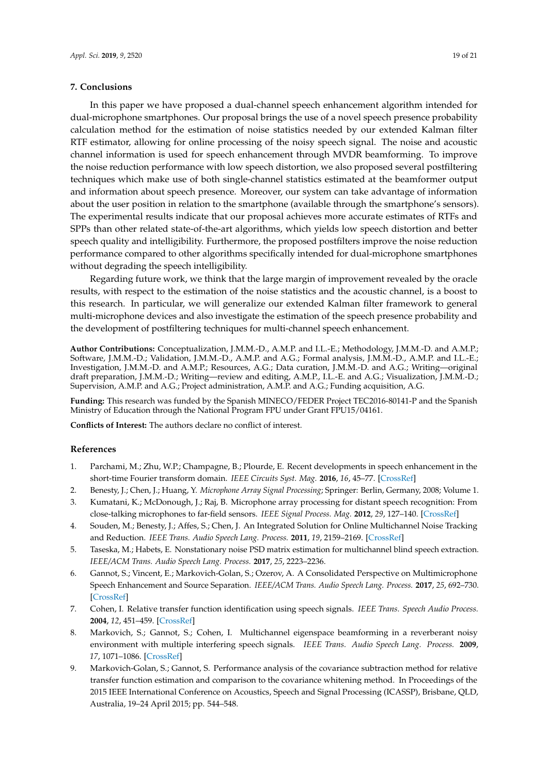# <span id="page-18-9"></span>**7. Conclusions**

In this paper we have proposed a dual-channel speech enhancement algorithm intended for dual-microphone smartphones. Our proposal brings the use of a novel speech presence probability calculation method for the estimation of noise statistics needed by our extended Kalman filter RTF estimator, allowing for online processing of the noisy speech signal. The noise and acoustic channel information is used for speech enhancement through MVDR beamforming. To improve the noise reduction performance with low speech distortion, we also proposed several postfiltering techniques which make use of both single-channel statistics estimated at the beamformer output and information about speech presence. Moreover, our system can take advantage of information about the user position in relation to the smartphone (available through the smartphone's sensors). The experimental results indicate that our proposal achieves more accurate estimates of RTFs and SPPs than other related state-of-the-art algorithms, which yields low speech distortion and better speech quality and intelligibility. Furthermore, the proposed postfilters improve the noise reduction performance compared to other algorithms specifically intended for dual-microphone smartphones without degrading the speech intelligibility.

Regarding future work, we think that the large margin of improvement revealed by the oracle results, with respect to the estimation of the noise statistics and the acoustic channel, is a boost to this research. In particular, we will generalize our extended Kalman filter framework to general multi-microphone devices and also investigate the estimation of the speech presence probability and the development of postfiltering techniques for multi-channel speech enhancement.

**Author Contributions:** Conceptualization, J.M.M.-D., A.M.P. and I.L.-E.; Methodology, J.M.M.-D. and A.M.P.; Software, J.M.M.-D.; Validation, J.M.M.-D., A.M.P. and A.G.; Formal analysis, J.M.M.-D., A.M.P. and I.L.-E.; Investigation, J.M.M.-D. and A.M.P.; Resources, A.G.; Data curation, J.M.M.-D. and A.G.; Writing—original draft preparation, J.M.M.-D.; Writing—review and editing, A.M.P., I.L.-E. and A.G.; Visualization, J.M.M.-D.; Supervision, A.M.P. and A.G.; Project administration, A.M.P. and A.G.; Funding acquisition, A.G.

**Funding:** This research was funded by the Spanish MINECO/FEDER Project TEC2016-80141-P and the Spanish Ministry of Education through the National Program FPU under Grant FPU15/04161.

**Conflicts of Interest:** The authors declare no conflict of interest.

# **References**

- <span id="page-18-0"></span>1. Parchami, M.; Zhu, W.P.; Champagne, B.; Plourde, E. Recent developments in speech enhancement in the short-time Fourier transform domain. *IEEE Circuits Syst. Mag.* **2016**, *16*, 45–77. [\[CrossRef\]](http://dx.doi.org/10.1109/MCAS.2016.2583681)
- <span id="page-18-1"></span>2. Benesty, J.; Chen, J.; Huang, Y. *Microphone Array Signal Processing*; Springer: Berlin, Germany, 2008; Volume 1.
- <span id="page-18-2"></span>3. Kumatani, K.; McDonough, J.; Raj, B. Microphone array processing for distant speech recognition: From close-talking microphones to far-field sensors. *IEEE Signal Process. Mag.* **2012**, *29*, 127–140. [\[CrossRef\]](http://dx.doi.org/10.1109/MSP.2012.2205285)
- <span id="page-18-3"></span>4. Souden, M.; Benesty, J.; Affes, S.; Chen, J. An Integrated Solution for Online Multichannel Noise Tracking and Reduction. *IEEE Trans. Audio Speech Lang. Process.* **2011**, *19*, 2159–2169. [\[CrossRef\]](http://dx.doi.org/10.1109/TASL.2011.2118205)
- <span id="page-18-4"></span>5. Taseska, M.; Habets, E. Nonstationary noise PSD matrix estimation for multichannel blind speech extraction. *IEEE/ACM Trans. Audio Speech Lang. Process.* **2017**, *25*, 2223–2236.
- <span id="page-18-5"></span>6. Gannot, S.; Vincent, E.; Markovich-Golan, S.; Ozerov, A. A Consolidated Perspective on Multimicrophone Speech Enhancement and Source Separation. *IEEE/ACM Trans. Audio Speech Lang. Process.* **2017**, *25*, 692–730. [\[CrossRef\]](http://dx.doi.org/10.1109/TASLP.2016.2647702)
- <span id="page-18-6"></span>7. Cohen, I. Relative transfer function identification using speech signals. *IEEE Trans. Speech Audio Process.* **2004**, *12*, 451–459. [\[CrossRef\]](http://dx.doi.org/10.1109/TSA.2004.832975)
- <span id="page-18-7"></span>8. Markovich, S.; Gannot, S.; Cohen, I. Multichannel eigenspace beamforming in a reverberant noisy environment with multiple interfering speech signals. *IEEE Trans. Audio Speech Lang. Process.* **2009**, *17*, 1071–1086. [\[CrossRef\]](http://dx.doi.org/10.1109/TASL.2009.2016395)
- <span id="page-18-8"></span>9. Markovich-Golan, S.; Gannot, S. Performance analysis of the covariance subtraction method for relative transfer function estimation and comparison to the covariance whitening method. In Proceedings of the 2015 IEEE International Conference on Acoustics, Speech and Signal Processing (ICASSP), Brisbane, QLD, Australia, 19–24 April 2015; pp. 544–548.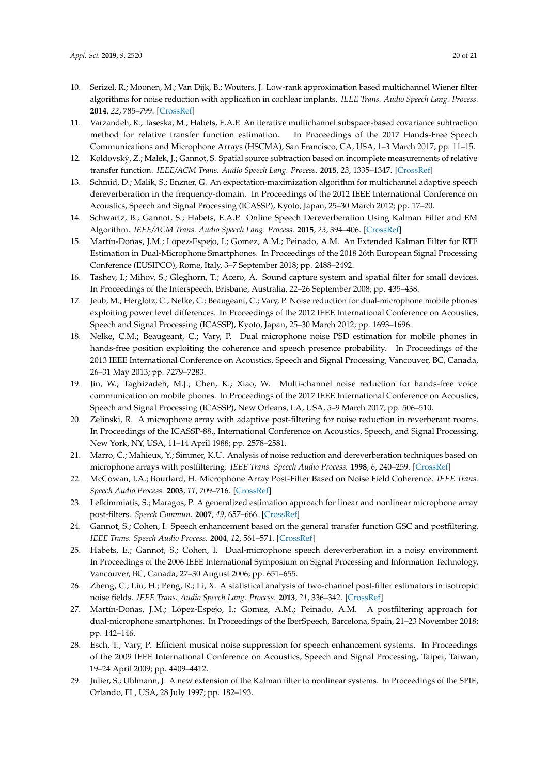- <span id="page-19-0"></span>10. Serizel, R.; Moonen, M.; Van Dijk, B.; Wouters, J. Low-rank approximation based multichannel Wiener filter algorithms for noise reduction with application in cochlear implants. *IEEE Trans. Audio Speech Lang. Process.* **2014**, *22*, 785–799. [\[CrossRef\]](http://dx.doi.org/10.1109/TASLP.2014.2304240)
- <span id="page-19-1"></span>11. Varzandeh, R.; Taseska, M.; Habets, E.A.P. An iterative multichannel subspace-based covariance subtraction method for relative transfer function estimation. In Proceedings of the 2017 Hands-Free Speech Communications and Microphone Arrays (HSCMA), San Francisco, CA, USA, 1–3 March 2017; pp. 11–15.
- <span id="page-19-2"></span>12. Koldovský, Z.; Malek, J.; Gannot, S. Spatial source subtraction based on incomplete measurements of relative transfer function. *IEEE/ACM Trans. Audio Speech Lang. Process.* **2015**, *23*, 1335–1347. [\[CrossRef\]](http://dx.doi.org/10.1109/TASLP.2015.2425213)
- <span id="page-19-3"></span>13. Schmid, D.; Malik, S.; Enzner, G. An expectation-maximization algorithm for multichannel adaptive speech dereverberation in the frequency-domain. In Proceedings of the 2012 IEEE International Conference on Acoustics, Speech and Signal Processing (ICASSP), Kyoto, Japan, 25–30 March 2012; pp. 17–20.
- <span id="page-19-4"></span>14. Schwartz, B.; Gannot, S.; Habets, E.A.P. Online Speech Dereverberation Using Kalman Filter and EM Algorithm. *IEEE/ACM Trans. Audio Speech Lang. Process.* **2015**, *23*, 394–406. [\[CrossRef\]](http://dx.doi.org/10.1109/TASLP.2014.2372342)
- <span id="page-19-5"></span>15. Martín-Doñas, J.M.; López-Espejo, I.; Gomez, A.M.; Peinado, A.M. An Extended Kalman Filter for RTF Estimation in Dual-Microphone Smartphones. In Proceedings of the 2018 26th European Signal Processing Conference (EUSIPCO), Rome, Italy, 3–7 September 2018; pp. 2488–2492.
- <span id="page-19-6"></span>16. Tashev, I.; Mihov, S.; Gleghorn, T.; Acero, A. Sound capture system and spatial filter for small devices. In Proceedings of the Interspeech, Brisbane, Australia, 22–26 September 2008; pp. 435–438.
- <span id="page-19-7"></span>17. Jeub, M.; Herglotz, C.; Nelke, C.; Beaugeant, C.; Vary, P. Noise reduction for dual-microphone mobile phones exploiting power level differences. In Proceedings of the 2012 IEEE International Conference on Acoustics, Speech and Signal Processing (ICASSP), Kyoto, Japan, 25–30 March 2012; pp. 1693–1696.
- <span id="page-19-8"></span>18. Nelke, C.M.; Beaugeant, C.; Vary, P. Dual microphone noise PSD estimation for mobile phones in hands-free position exploiting the coherence and speech presence probability. In Proceedings of the 2013 IEEE International Conference on Acoustics, Speech and Signal Processing, Vancouver, BC, Canada, 26–31 May 2013; pp. 7279–7283.
- <span id="page-19-9"></span>19. Jin, W.; Taghizadeh, M.J.; Chen, K.; Xiao, W. Multi-channel noise reduction for hands-free voice communication on mobile phones. In Proceedings of the 2017 IEEE International Conference on Acoustics, Speech and Signal Processing (ICASSP), New Orleans, LA, USA, 5–9 March 2017; pp. 506–510.
- <span id="page-19-10"></span>20. Zelinski, R. A microphone array with adaptive post-filtering for noise reduction in reverberant rooms. In Proceedings of the ICASSP-88., International Conference on Acoustics, Speech, and Signal Processing, New York, NY, USA, 11–14 April 1988; pp. 2578–2581.
- 21. Marro, C.; Mahieux, Y.; Simmer, K.U. Analysis of noise reduction and dereverberation techniques based on microphone arrays with postfiltering. *IEEE Trans. Speech Audio Process.* **1998**, *6*, 240–259. [\[CrossRef\]](http://dx.doi.org/10.1109/89.668818)
- <span id="page-19-11"></span>22. McCowan, I.A.; Bourlard, H. Microphone Array Post-Filter Based on Noise Field Coherence. *IEEE Trans. Speech Audio Process.* **2003**, *11*, 709–716. [\[CrossRef\]](http://dx.doi.org/10.1109/TSA.2003.818212)
- <span id="page-19-12"></span>23. Lefkimmiatis, S.; Maragos, P. A generalized estimation approach for linear and nonlinear microphone array post-filters. *Speech Commun.* **2007**, *49*, 657–666. [\[CrossRef\]](http://dx.doi.org/10.1016/j.specom.2007.02.004)
- <span id="page-19-13"></span>24. Gannot, S.; Cohen, I. Speech enhancement based on the general transfer function GSC and postfiltering. *IEEE Trans. Speech Audio Process.* **2004**, *12*, 561–571. [\[CrossRef\]](http://dx.doi.org/10.1109/TSA.2004.834599)
- <span id="page-19-14"></span>25. Habets, E.; Gannot, S.; Cohen, I. Dual-microphone speech dereverberation in a noisy environment. In Proceedings of the 2006 IEEE International Symposium on Signal Processing and Information Technology, Vancouver, BC, Canada, 27–30 August 2006; pp. 651–655.
- <span id="page-19-15"></span>26. Zheng, C.; Liu, H.; Peng, R.; Li, X. A statistical analysis of two-channel post-filter estimators in isotropic noise fields. *IEEE Trans. Audio Speech Lang. Process.* **2013**, *21*, 336–342. [\[CrossRef\]](http://dx.doi.org/10.1109/TASL.2012.2229981)
- <span id="page-19-16"></span>27. Martín-Doñas, J.M.; López-Espejo, I.; Gomez, A.M.; Peinado, A.M. A postfiltering approach for dual-microphone smartphones. In Proceedings of the IberSpeech, Barcelona, Spain, 21–23 November 2018; pp. 142–146.
- <span id="page-19-17"></span>28. Esch, T.; Vary, P. Efficient musical noise suppression for speech enhancement systems. In Proceedings of the 2009 IEEE International Conference on Acoustics, Speech and Signal Processing, Taipei, Taiwan, 19–24 April 2009; pp. 4409–4412.
- <span id="page-19-18"></span>29. Julier, S.; Uhlmann, J. A new extension of the Kalman filter to nonlinear systems. In Proceedings of the SPIE, Orlando, FL, USA, 28 July 1997; pp. 182–193.